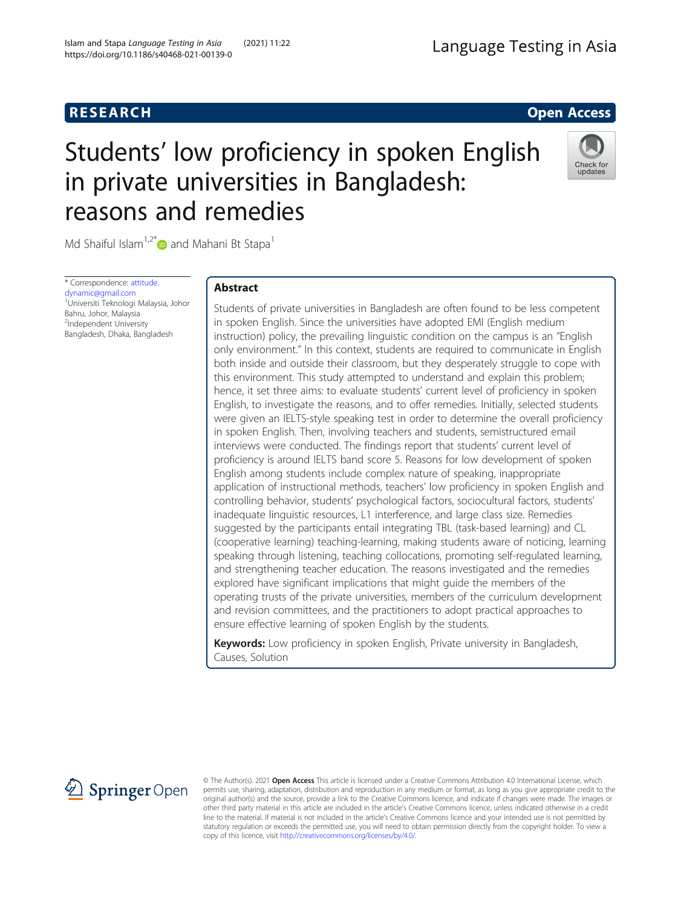# **RESEARCH RESEARCH CONSUMING ACCESS**

# Students' low proficiency in spoken English in private universities in Bangladesh: reasons and remedies

Md Shaiful Islam<sup>1,2[\\*](http://orcid.org/0000-0002-0856-819X)</sup> and Mahani Bt Stapa<sup>1</sup>

\* Correspondence: [attitude.](mailto:attitude.dynamic@gmail.com) [dynamic@gmail.com](mailto:attitude.dynamic@gmail.com) 1 Universiti Teknologi Malaysia, Johor Bahru, Johor, Malaysia <sup>2</sup>Independent University Bangladesh, Dhaka, Bangladesh

# Abstract

Students of private universities in Bangladesh are often found to be less competent in spoken English. Since the universities have adopted EMI (English medium instruction) policy, the prevailing linguistic condition on the campus is an "English only environment." In this context, students are required to communicate in English both inside and outside their classroom, but they desperately struggle to cope with this environment. This study attempted to understand and explain this problem; hence, it set three aims: to evaluate students' current level of proficiency in spoken English, to investigate the reasons, and to offer remedies. Initially, selected students were given an IELTS-style speaking test in order to determine the overall proficiency in spoken English. Then, involving teachers and students, semistructured email interviews were conducted. The findings report that students' current level of proficiency is around IELTS band score 5. Reasons for low development of spoken English among students include complex nature of speaking, inappropriate application of instructional methods, teachers' low proficiency in spoken English and controlling behavior, students' psychological factors, sociocultural factors, students' inadequate linguistic resources, L1 interference, and large class size. Remedies suggested by the participants entail integrating TBL (task-based learning) and CL (cooperative learning) teaching-learning, making students aware of noticing, learning speaking through listening, teaching collocations, promoting self-regulated learning, and strengthening teacher education. The reasons investigated and the remedies explored have significant implications that might guide the members of the operating trusts of the private universities, members of the curriculum development and revision committees, and the practitioners to adopt practical approaches to ensure effective learning of spoken English by the students.

Keywords: Low proficiency in spoken English, Private university in Bangladesh, Causes, Solution

2 Springer Open

© The Author(s). 2021 Open Access This article is licensed under a Creative Commons Attribution 4.0 International License, which permits use, sharing, adaptation, distribution and reproduction in any medium or format, as long as you give appropriate credit to the original author(s) and the source, provide a link to the Creative Commons licence, and indicate if changes were made. The images or other third party material in this article are included in the article's Creative Commons licence, unless indicated otherwise in a credit line to the material. If material is not included in the article's Creative Commons licence and your intended use is not permitted by statutory regulation or exceeds the permitted use, you will need to obtain permission directly from the copyright holder. To view a copy of this licence, visit <http://creativecommons.org/licenses/by/4.0/>.





Check for update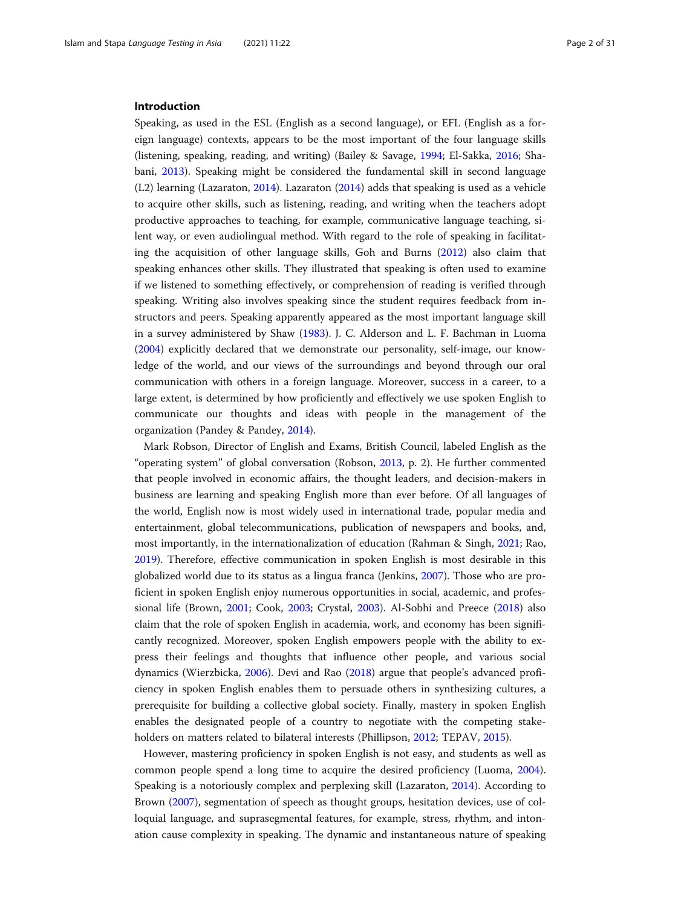#### Introduction

Speaking, as used in the ESL (English as a second language), or EFL (English as a foreign language) contexts, appears to be the most important of the four language skills (listening, speaking, reading, and writing) (Bailey & Savage, [1994](#page-25-0); El-Sakka, [2016;](#page-26-0) Shabani, [2013](#page-29-0)). Speaking might be considered the fundamental skill in second language (L2) learning (Lazaraton, [2014\)](#page-27-0). Lazaraton [\(2014\)](#page-27-0) adds that speaking is used as a vehicle to acquire other skills, such as listening, reading, and writing when the teachers adopt productive approaches to teaching, for example, communicative language teaching, silent way, or even audiolingual method. With regard to the role of speaking in facilitating the acquisition of other language skills, Goh and Burns ([2012](#page-26-0)) also claim that speaking enhances other skills. They illustrated that speaking is often used to examine if we listened to something effectively, or comprehension of reading is verified through speaking. Writing also involves speaking since the student requires feedback from instructors and peers. Speaking apparently appeared as the most important language skill in a survey administered by Shaw ([1983](#page-29-0)). J. C. Alderson and L. F. Bachman in Luoma ([2004](#page-27-0)) explicitly declared that we demonstrate our personality, self-image, our knowledge of the world, and our views of the surroundings and beyond through our oral communication with others in a foreign language. Moreover, success in a career, to a large extent, is determined by how proficiently and effectively we use spoken English to communicate our thoughts and ideas with people in the management of the organization (Pandey & Pandey, [2014](#page-28-0)).

Mark Robson, Director of English and Exams, British Council, labeled English as the "operating system" of global conversation (Robson, [2013,](#page-28-0) p. 2). He further commented that people involved in economic affairs, the thought leaders, and decision-makers in business are learning and speaking English more than ever before. Of all languages of the world, English now is most widely used in international trade, popular media and entertainment, global telecommunications, publication of newspapers and books, and, most importantly, in the internationalization of education (Rahman & Singh, [2021;](#page-28-0) Rao, [2019](#page-28-0)). Therefore, effective communication in spoken English is most desirable in this globalized world due to its status as a lingua franca (Jenkins, [2007](#page-26-0)). Those who are proficient in spoken English enjoy numerous opportunities in social, academic, and professional life (Brown, [2001;](#page-25-0) Cook, [2003;](#page-25-0) Crystal, [2003](#page-25-0)). Al-Sobhi and Preece ([2018\)](#page-24-0) also claim that the role of spoken English in academia, work, and economy has been significantly recognized. Moreover, spoken English empowers people with the ability to express their feelings and thoughts that influence other people, and various social dynamics (Wierzbicka, [2006](#page-29-0)). Devi and Rao [\(2018](#page-25-0)) argue that people's advanced proficiency in spoken English enables them to persuade others in synthesizing cultures, a prerequisite for building a collective global society. Finally, mastery in spoken English enables the designated people of a country to negotiate with the competing stakeholders on matters related to bilateral interests (Phillipson, [2012](#page-28-0); TEPAV, [2015](#page-29-0)).

However, mastering proficiency in spoken English is not easy, and students as well as common people spend a long time to acquire the desired proficiency (Luoma, [2004](#page-27-0)). Speaking is a notoriously complex and perplexing skill (Lazaraton, [2014](#page-27-0)). According to Brown ([2007](#page-25-0)), segmentation of speech as thought groups, hesitation devices, use of colloquial language, and suprasegmental features, for example, stress, rhythm, and intonation cause complexity in speaking. The dynamic and instantaneous nature of speaking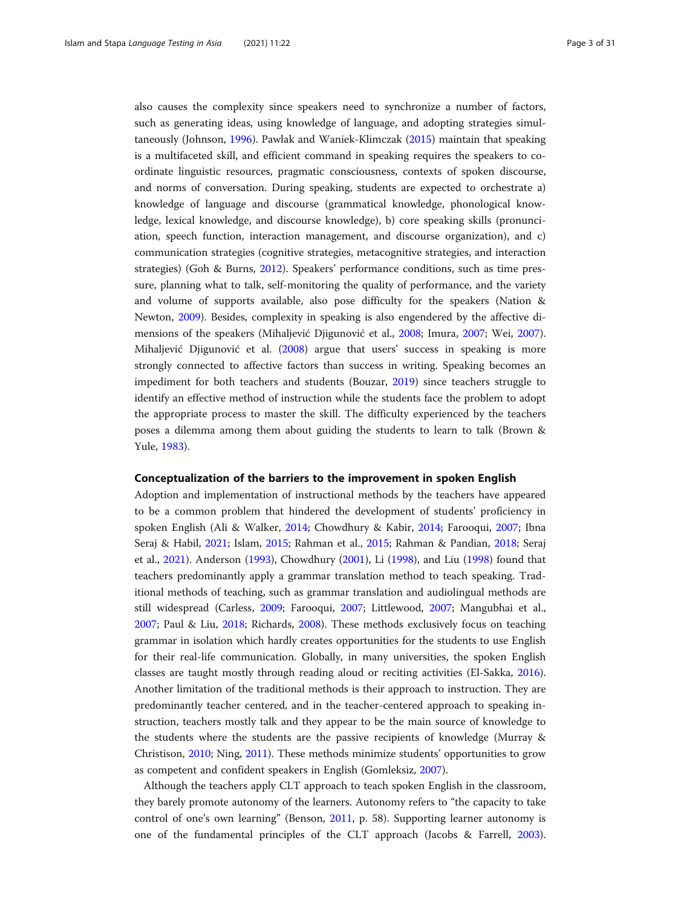also causes the complexity since speakers need to synchronize a number of factors, such as generating ideas, using knowledge of language, and adopting strategies simultaneously (Johnson, [1996\)](#page-26-0). Pawlak and Waniek-Klimczak ([2015\)](#page-28-0) maintain that speaking is a multifaceted skill, and efficient command in speaking requires the speakers to coordinate linguistic resources, pragmatic consciousness, contexts of spoken discourse, and norms of conversation. During speaking, students are expected to orchestrate a) knowledge of language and discourse (grammatical knowledge, phonological knowledge, lexical knowledge, and discourse knowledge), b) core speaking skills (pronunciation, speech function, interaction management, and discourse organization), and c) communication strategies (cognitive strategies, metacognitive strategies, and interaction strategies) (Goh & Burns, [2012\)](#page-26-0). Speakers' performance conditions, such as time pressure, planning what to talk, self-monitoring the quality of performance, and the variety and volume of supports available, also pose difficulty for the speakers (Nation & Newton, [2009](#page-28-0)). Besides, complexity in speaking is also engendered by the affective dimensions of the speakers (Mihaljević Djigunović et al., [2008](#page-27-0); Imura, [2007](#page-26-0); Wei, [2007](#page-29-0)). Mihaljević Djigunović et al. ([2008](#page-27-0)) argue that users' success in speaking is more strongly connected to affective factors than success in writing. Speaking becomes an impediment for both teachers and students (Bouzar, [2019](#page-25-0)) since teachers struggle to identify an effective method of instruction while the students face the problem to adopt the appropriate process to master the skill. The difficulty experienced by the teachers poses a dilemma among them about guiding the students to learn to talk (Brown & Yule, [1983\)](#page-25-0).

#### Conceptualization of the barriers to the improvement in spoken English

Adoption and implementation of instructional methods by the teachers have appeared to be a common problem that hindered the development of students' proficiency in spoken English (Ali & Walker, [2014](#page-24-0); Chowdhury & Kabir, [2014;](#page-25-0) Farooqui, [2007](#page-26-0); Ibna Seraj & Habil, [2021](#page-26-0); Islam, [2015](#page-26-0); Rahman et al., [2015](#page-28-0); Rahman & Pandian, [2018](#page-28-0); Seraj et al., [2021](#page-29-0)). Anderson [\(1993\)](#page-24-0), Chowdhury ([2001](#page-25-0)), Li [\(1998\)](#page-27-0), and Liu [\(1998](#page-27-0)) found that teachers predominantly apply a grammar translation method to teach speaking. Traditional methods of teaching, such as grammar translation and audiolingual methods are still widespread (Carless, [2009](#page-25-0); Farooqui, [2007;](#page-26-0) Littlewood, [2007](#page-27-0); Mangubhai et al., [2007](#page-27-0); Paul & Liu, [2018](#page-28-0); Richards, [2008\)](#page-28-0). These methods exclusively focus on teaching grammar in isolation which hardly creates opportunities for the students to use English for their real-life communication. Globally, in many universities, the spoken English classes are taught mostly through reading aloud or reciting activities (El-Sakka, [2016](#page-26-0)). Another limitation of the traditional methods is their approach to instruction. They are predominantly teacher centered, and in the teacher-centered approach to speaking instruction, teachers mostly talk and they appear to be the main source of knowledge to the students where the students are the passive recipients of knowledge (Murray & Christison, [2010](#page-27-0); Ning, [2011](#page-28-0)). These methods minimize students' opportunities to grow as competent and confident speakers in English (Gomleksiz, [2007\)](#page-26-0).

Although the teachers apply CLT approach to teach spoken English in the classroom, they barely promote autonomy of the learners. Autonomy refers to "the capacity to take control of one's own learning" (Benson, [2011](#page-25-0), p. 58). Supporting learner autonomy is one of the fundamental principles of the CLT approach (Jacobs & Farrell, [2003](#page-26-0)).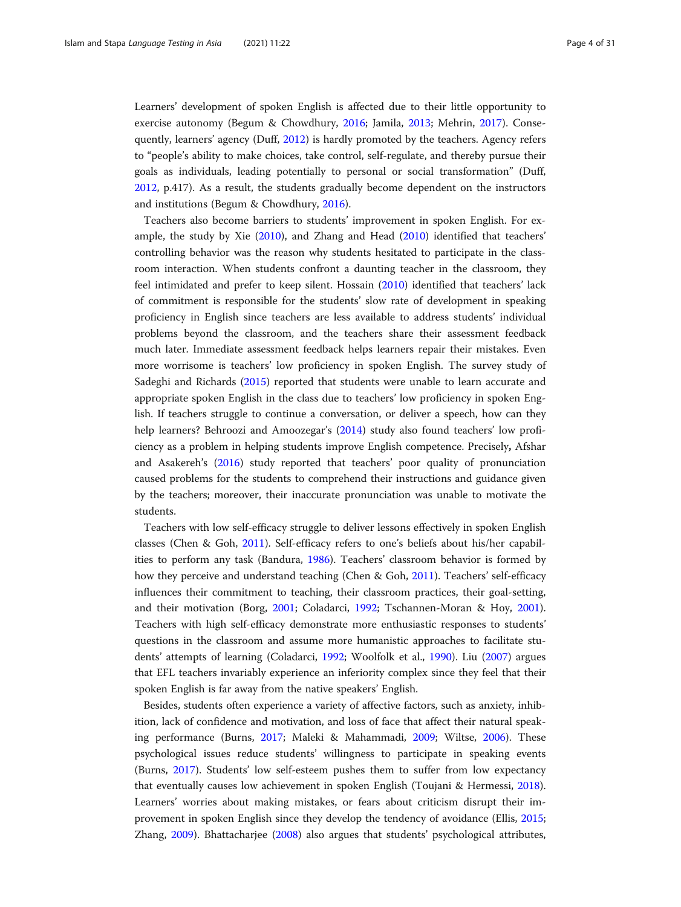Learners' development of spoken English is affected due to their little opportunity to exercise autonomy (Begum & Chowdhury, [2016;](#page-25-0) Jamila, [2013;](#page-26-0) Mehrin, [2017](#page-27-0)). Consequently, learners' agency (Duff, [2012](#page-25-0)) is hardly promoted by the teachers. Agency refers to "people's ability to make choices, take control, self-regulate, and thereby pursue their goals as individuals, leading potentially to personal or social transformation" (Duff, [2012](#page-25-0), p.417). As a result, the students gradually become dependent on the instructors and institutions (Begum & Chowdhury, [2016\)](#page-25-0).

Teachers also become barriers to students' improvement in spoken English. For example, the study by Xie [\(2010\)](#page-29-0), and Zhang and Head ([2010](#page-29-0)) identified that teachers' controlling behavior was the reason why students hesitated to participate in the classroom interaction. When students confront a daunting teacher in the classroom, they feel intimidated and prefer to keep silent. Hossain [\(2010\)](#page-26-0) identified that teachers' lack of commitment is responsible for the students' slow rate of development in speaking proficiency in English since teachers are less available to address students' individual problems beyond the classroom, and the teachers share their assessment feedback much later. Immediate assessment feedback helps learners repair their mistakes. Even more worrisome is teachers' low proficiency in spoken English. The survey study of Sadeghi and Richards [\(2015](#page-29-0)) reported that students were unable to learn accurate and appropriate spoken English in the class due to teachers' low proficiency in spoken English. If teachers struggle to continue a conversation, or deliver a speech, how can they help learners? Behroozi and Amoozegar's [\(2014\)](#page-25-0) study also found teachers' low proficiency as a problem in helping students improve English competence. Precisely, Afshar and Asakereh's [\(2016\)](#page-24-0) study reported that teachers' poor quality of pronunciation caused problems for the students to comprehend their instructions and guidance given by the teachers; moreover, their inaccurate pronunciation was unable to motivate the students.

Teachers with low self-efficacy struggle to deliver lessons effectively in spoken English classes (Chen & Goh, [2011\)](#page-25-0). Self-efficacy refers to one's beliefs about his/her capabilities to perform any task (Bandura, [1986\)](#page-25-0). Teachers' classroom behavior is formed by how they perceive and understand teaching (Chen & Goh, [2011\)](#page-25-0). Teachers' self-efficacy influences their commitment to teaching, their classroom practices, their goal-setting, and their motivation (Borg, [2001](#page-25-0); Coladarci, [1992;](#page-25-0) Tschannen-Moran & Hoy, [2001](#page-29-0)). Teachers with high self-efficacy demonstrate more enthusiastic responses to students' questions in the classroom and assume more humanistic approaches to facilitate students' attempts of learning (Coladarci, [1992](#page-25-0); Woolfolk et al., [1990](#page-29-0)). Liu ([2007](#page-27-0)) argues that EFL teachers invariably experience an inferiority complex since they feel that their spoken English is far away from the native speakers' English.

Besides, students often experience a variety of affective factors, such as anxiety, inhibition, lack of confidence and motivation, and loss of face that affect their natural speaking performance (Burns, [2017;](#page-25-0) Maleki & Mahammadi, [2009;](#page-27-0) Wiltse, [2006](#page-29-0)). These psychological issues reduce students' willingness to participate in speaking events (Burns, [2017](#page-25-0)). Students' low self-esteem pushes them to suffer from low expectancy that eventually causes low achievement in spoken English (Toujani & Hermessi, [2018](#page-29-0)). Learners' worries about making mistakes, or fears about criticism disrupt their improvement in spoken English since they develop the tendency of avoidance (Ellis, [2015](#page-26-0); Zhang, [2009](#page-29-0)). Bhattacharjee [\(2008\)](#page-25-0) also argues that students' psychological attributes,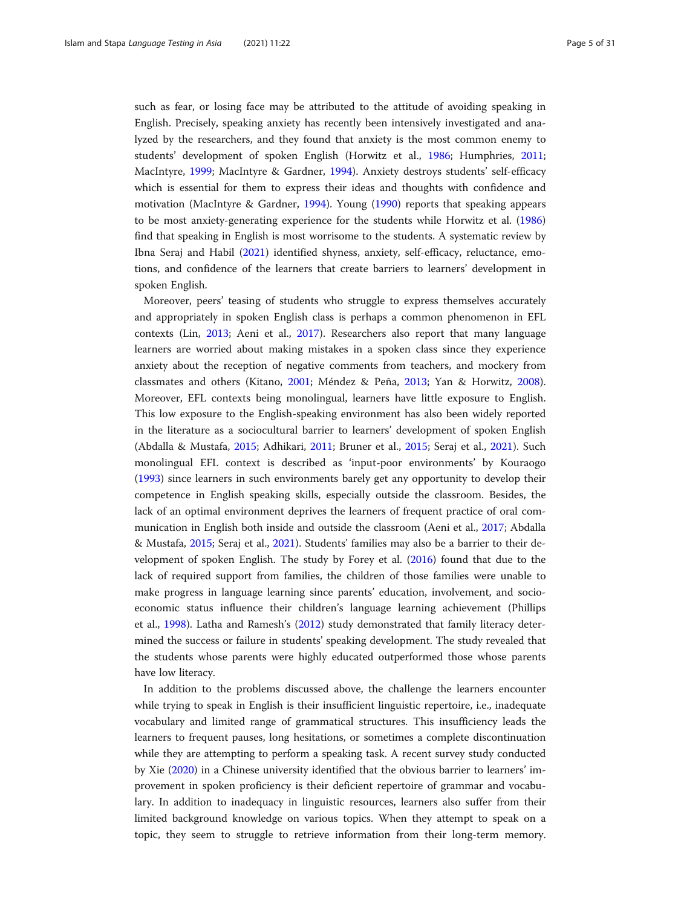such as fear, or losing face may be attributed to the attitude of avoiding speaking in English. Precisely, speaking anxiety has recently been intensively investigated and analyzed by the researchers, and they found that anxiety is the most common enemy to students' development of spoken English (Horwitz et al., [1986](#page-26-0); Humphries, [2011](#page-26-0); MacIntyre, [1999](#page-27-0); MacIntyre & Gardner, [1994](#page-27-0)). Anxiety destroys students' self-efficacy which is essential for them to express their ideas and thoughts with confidence and motivation (MacIntyre & Gardner, [1994](#page-27-0)). Young [\(1990\)](#page-29-0) reports that speaking appears to be most anxiety-generating experience for the students while Horwitz et al. ([1986](#page-26-0)) find that speaking in English is most worrisome to the students. A systematic review by Ibna Seraj and Habil [\(2021](#page-26-0)) identified shyness, anxiety, self-efficacy, reluctance, emotions, and confidence of the learners that create barriers to learners' development in spoken English.

Moreover, peers' teasing of students who struggle to express themselves accurately and appropriately in spoken English class is perhaps a common phenomenon in EFL contexts (Lin, [2013](#page-27-0); Aeni et al., [2017](#page-24-0)). Researchers also report that many language learners are worried about making mistakes in a spoken class since they experience anxiety about the reception of negative comments from teachers, and mockery from classmates and others (Kitano, [2001;](#page-27-0) Méndez & Peña, [2013;](#page-27-0) Yan & Horwitz, [2008](#page-29-0)). Moreover, EFL contexts being monolingual, learners have little exposure to English. This low exposure to the English-speaking environment has also been widely reported in the literature as a sociocultural barrier to learners' development of spoken English (Abdalla & Mustafa, [2015;](#page-24-0) Adhikari, [2011](#page-24-0); Bruner et al., [2015](#page-25-0); Seraj et al., [2021\)](#page-29-0). Such monolingual EFL context is described as 'input-poor environments' by Kouraogo ([1993](#page-27-0)) since learners in such environments barely get any opportunity to develop their competence in English speaking skills, especially outside the classroom. Besides, the lack of an optimal environment deprives the learners of frequent practice of oral communication in English both inside and outside the classroom (Aeni et al., [2017](#page-24-0); Abdalla & Mustafa, [2015;](#page-24-0) Seraj et al., [2021](#page-29-0)). Students' families may also be a barrier to their development of spoken English. The study by Forey et al. [\(2016\)](#page-26-0) found that due to the lack of required support from families, the children of those families were unable to make progress in language learning since parents' education, involvement, and socioeconomic status influence their children's language learning achievement (Phillips et al., [1998\)](#page-28-0). Latha and Ramesh's ([2012\)](#page-27-0) study demonstrated that family literacy determined the success or failure in students' speaking development. The study revealed that the students whose parents were highly educated outperformed those whose parents have low literacy.

In addition to the problems discussed above, the challenge the learners encounter while trying to speak in English is their insufficient linguistic repertoire, i.e., inadequate vocabulary and limited range of grammatical structures. This insufficiency leads the learners to frequent pauses, long hesitations, or sometimes a complete discontinuation while they are attempting to perform a speaking task. A recent survey study conducted by Xie [\(2020\)](#page-29-0) in a Chinese university identified that the obvious barrier to learners' improvement in spoken proficiency is their deficient repertoire of grammar and vocabulary. In addition to inadequacy in linguistic resources, learners also suffer from their limited background knowledge on various topics. When they attempt to speak on a topic, they seem to struggle to retrieve information from their long-term memory.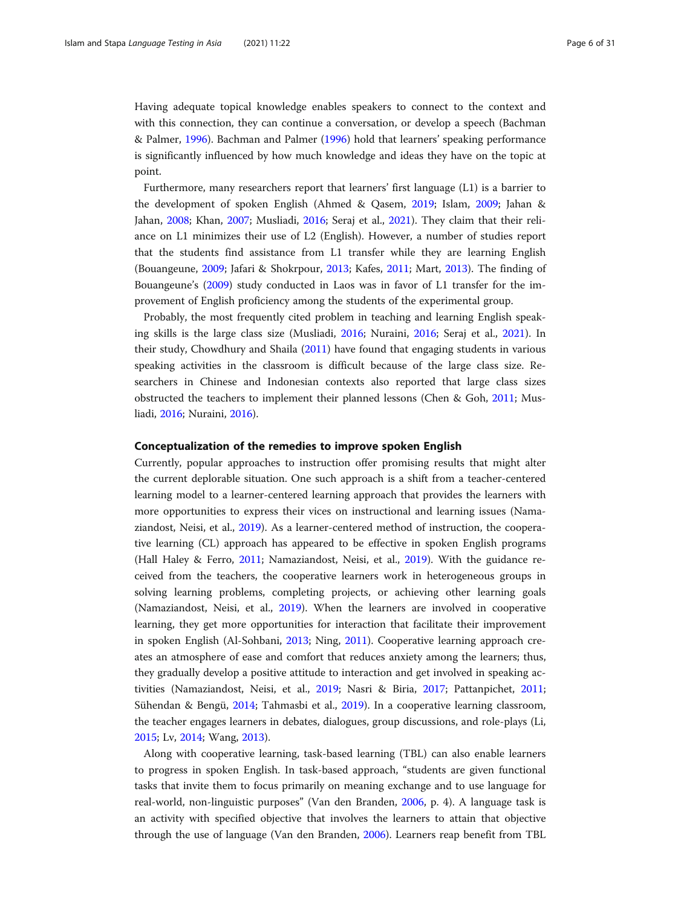Having adequate topical knowledge enables speakers to connect to the context and with this connection, they can continue a conversation, or develop a speech (Bachman & Palmer, [1996](#page-25-0)). Bachman and Palmer ([1996\)](#page-25-0) hold that learners' speaking performance is significantly influenced by how much knowledge and ideas they have on the topic at point.

Furthermore, many researchers report that learners' first language (L1) is a barrier to the development of spoken English (Ahmed & Qasem, [2019;](#page-24-0) Islam, [2009;](#page-26-0) Jahan & Jahan, [2008;](#page-26-0) Khan, [2007](#page-27-0); Musliadi, [2016;](#page-27-0) Seraj et al., [2021\)](#page-29-0). They claim that their reliance on L1 minimizes their use of L2 (English). However, a number of studies report that the students find assistance from L1 transfer while they are learning English (Bouangeune, [2009](#page-25-0); Jafari & Shokrpour, [2013](#page-26-0); Kafes, [2011](#page-27-0); Mart, [2013](#page-27-0)). The finding of Bouangeune's ([2009](#page-25-0)) study conducted in Laos was in favor of L1 transfer for the improvement of English proficiency among the students of the experimental group.

Probably, the most frequently cited problem in teaching and learning English speaking skills is the large class size (Musliadi, [2016;](#page-27-0) Nuraini, [2016;](#page-28-0) Seraj et al., [2021](#page-29-0)). In their study, Chowdhury and Shaila ([2011](#page-25-0)) have found that engaging students in various speaking activities in the classroom is difficult because of the large class size. Researchers in Chinese and Indonesian contexts also reported that large class sizes obstructed the teachers to implement their planned lessons (Chen & Goh, [2011](#page-25-0); Musliadi, [2016;](#page-27-0) Nuraini, [2016\)](#page-28-0).

#### Conceptualization of the remedies to improve spoken English

Currently, popular approaches to instruction offer promising results that might alter the current deplorable situation. One such approach is a shift from a teacher-centered learning model to a learner-centered learning approach that provides the learners with more opportunities to express their vices on instructional and learning issues (Namaziandost, Neisi, et al., [2019](#page-27-0)). As a learner-centered method of instruction, the cooperative learning (CL) approach has appeared to be effective in spoken English programs (Hall Haley & Ferro, [2011;](#page-26-0) Namaziandost, Neisi, et al., [2019\)](#page-27-0). With the guidance received from the teachers, the cooperative learners work in heterogeneous groups in solving learning problems, completing projects, or achieving other learning goals (Namaziandost, Neisi, et al., [2019\)](#page-27-0). When the learners are involved in cooperative learning, they get more opportunities for interaction that facilitate their improvement in spoken English (Al-Sohbani, [2013](#page-24-0); Ning, [2011](#page-28-0)). Cooperative learning approach creates an atmosphere of ease and comfort that reduces anxiety among the learners; thus, they gradually develop a positive attitude to interaction and get involved in speaking activities (Namaziandost, Neisi, et al., [2019](#page-27-0); Nasri & Biria, [2017;](#page-28-0) Pattanpichet, [2011](#page-28-0); Sühendan & Bengü, [2014](#page-29-0); Tahmasbi et al., [2019](#page-29-0)). In a cooperative learning classroom, the teacher engages learners in debates, dialogues, group discussions, and role-plays (Li, [2015](#page-27-0); Lv, [2014](#page-27-0); Wang, [2013](#page-29-0)).

Along with cooperative learning, task-based learning (TBL) can also enable learners to progress in spoken English. In task-based approach, "students are given functional tasks that invite them to focus primarily on meaning exchange and to use language for real-world, non-linguistic purposes" (Van den Branden, [2006,](#page-29-0) p. 4). A language task is an activity with specified objective that involves the learners to attain that objective through the use of language (Van den Branden, [2006](#page-29-0)). Learners reap benefit from TBL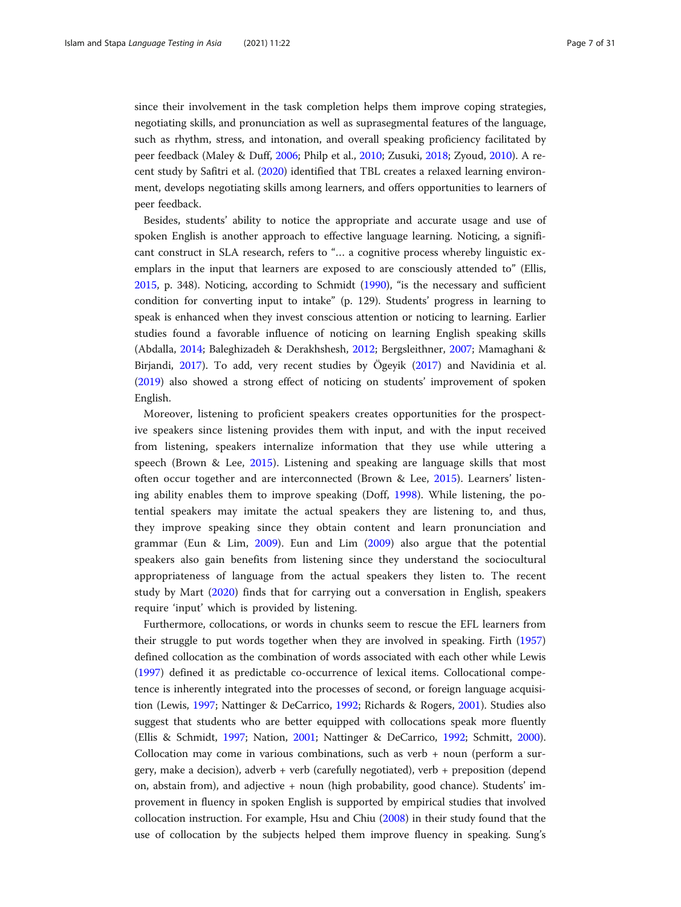since their involvement in the task completion helps them improve coping strategies, negotiating skills, and pronunciation as well as suprasegmental features of the language, such as rhythm, stress, and intonation, and overall speaking proficiency facilitated by peer feedback (Maley & Duff, [2006;](#page-27-0) Philp et al., [2010](#page-28-0); Zusuki, [2018;](#page-30-0) Zyoud, [2010\)](#page-30-0). A recent study by Safitri et al. ([2020](#page-29-0)) identified that TBL creates a relaxed learning environment, develops negotiating skills among learners, and offers opportunities to learners of peer feedback.

Besides, students' ability to notice the appropriate and accurate usage and use of spoken English is another approach to effective language learning. Noticing, a significant construct in SLA research, refers to "… a cognitive process whereby linguistic exemplars in the input that learners are exposed to are consciously attended to" (Ellis, [2015](#page-26-0), p. 348). Noticing, according to Schmidt [\(1990\)](#page-29-0), "is the necessary and sufficient condition for converting input to intake" (p. 129). Students' progress in learning to speak is enhanced when they invest conscious attention or noticing to learning. Earlier studies found a favorable influence of noticing on learning English speaking skills (Abdalla, [2014](#page-24-0); Baleghizadeh & Derakhshesh, [2012](#page-25-0); Bergsleithner, [2007;](#page-25-0) Mamaghani & Birjandi, [2017\)](#page-27-0). To add, very recent studies by Ögeyik ([2017](#page-28-0)) and Navidinia et al. ([2019](#page-28-0)) also showed a strong effect of noticing on students' improvement of spoken English.

Moreover, listening to proficient speakers creates opportunities for the prospective speakers since listening provides them with input, and with the input received from listening, speakers internalize information that they use while uttering a speech (Brown & Lee, [2015\)](#page-25-0). Listening and speaking are language skills that most often occur together and are interconnected (Brown & Lee, [2015\)](#page-25-0). Learners' listening ability enables them to improve speaking (Doff, [1998\)](#page-25-0). While listening, the potential speakers may imitate the actual speakers they are listening to, and thus, they improve speaking since they obtain content and learn pronunciation and grammar (Eun & Lim, [2009\)](#page-26-0). Eun and Lim ([2009\)](#page-26-0) also argue that the potential speakers also gain benefits from listening since they understand the sociocultural appropriateness of language from the actual speakers they listen to. The recent study by Mart [\(2020](#page-27-0)) finds that for carrying out a conversation in English, speakers require 'input' which is provided by listening.

Furthermore, collocations, or words in chunks seem to rescue the EFL learners from their struggle to put words together when they are involved in speaking. Firth ([1957](#page-26-0)) defined collocation as the combination of words associated with each other while Lewis ([1997](#page-27-0)) defined it as predictable co-occurrence of lexical items. Collocational competence is inherently integrated into the processes of second, or foreign language acquisition (Lewis, [1997](#page-27-0); Nattinger & DeCarrico, [1992](#page-28-0); Richards & Rogers, [2001\)](#page-28-0). Studies also suggest that students who are better equipped with collocations speak more fluently (Ellis & Schmidt, [1997;](#page-26-0) Nation, [2001](#page-28-0); Nattinger & DeCarrico, [1992](#page-28-0); Schmitt, [2000](#page-29-0)). Collocation may come in various combinations, such as verb + noun (perform a surgery, make a decision), adverb + verb (carefully negotiated), verb + preposition (depend on, abstain from), and adjective + noun (high probability, good chance). Students' improvement in fluency in spoken English is supported by empirical studies that involved collocation instruction. For example, Hsu and Chiu ([2008\)](#page-26-0) in their study found that the use of collocation by the subjects helped them improve fluency in speaking. Sung's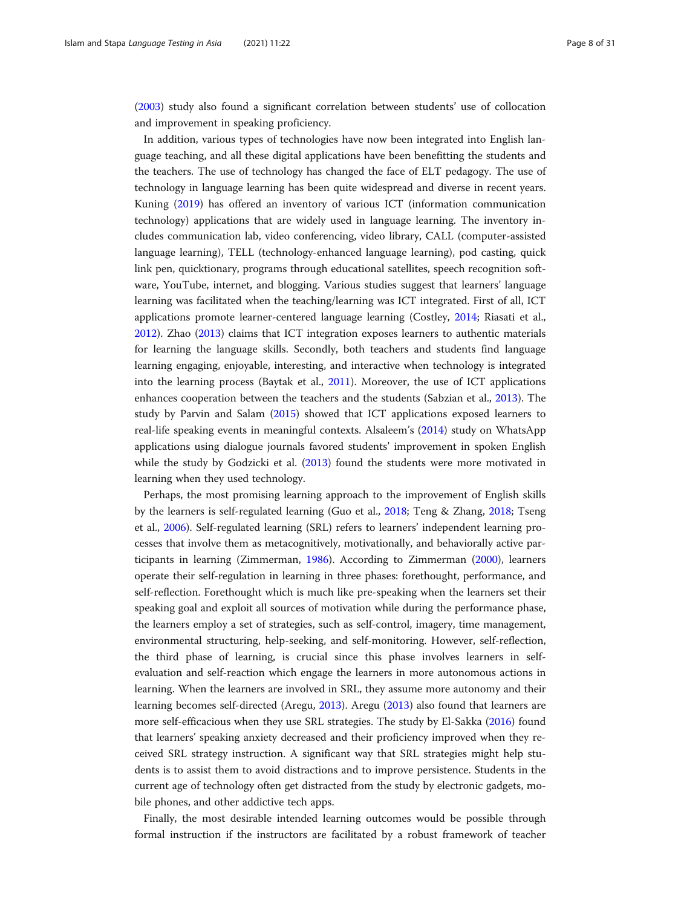([2003](#page-29-0)) study also found a significant correlation between students' use of collocation and improvement in speaking proficiency.

In addition, various types of technologies have now been integrated into English language teaching, and all these digital applications have been benefitting the students and the teachers. The use of technology has changed the face of ELT pedagogy. The use of technology in language learning has been quite widespread and diverse in recent years. Kuning [\(2019\)](#page-27-0) has offered an inventory of various ICT (information communication technology) applications that are widely used in language learning. The inventory includes communication lab, video conferencing, video library, CALL (computer-assisted language learning), TELL (technology-enhanced language learning), pod casting, quick link pen, quicktionary, programs through educational satellites, speech recognition software, YouTube, internet, and blogging. Various studies suggest that learners' language learning was facilitated when the teaching/learning was ICT integrated. First of all, ICT applications promote learner-centered language learning (Costley, [2014](#page-25-0); Riasati et al., [2012](#page-28-0)). Zhao ([2013](#page-29-0)) claims that ICT integration exposes learners to authentic materials for learning the language skills. Secondly, both teachers and students find language learning engaging, enjoyable, interesting, and interactive when technology is integrated into the learning process (Baytak et al., [2011\)](#page-25-0). Moreover, the use of ICT applications enhances cooperation between the teachers and the students (Sabzian et al., [2013\)](#page-28-0). The study by Parvin and Salam [\(2015\)](#page-28-0) showed that ICT applications exposed learners to real-life speaking events in meaningful contexts. Alsaleem's ([2014](#page-24-0)) study on WhatsApp applications using dialogue journals favored students' improvement in spoken English while the study by Godzicki et al. [\(2013\)](#page-26-0) found the students were more motivated in learning when they used technology.

Perhaps, the most promising learning approach to the improvement of English skills by the learners is self-regulated learning (Guo et al., [2018;](#page-26-0) Teng & Zhang, [2018](#page-29-0); Tseng et al., [2006\)](#page-29-0). Self-regulated learning (SRL) refers to learners' independent learning processes that involve them as metacognitively, motivationally, and behaviorally active participants in learning (Zimmerman, [1986](#page-30-0)). According to Zimmerman ([2000](#page-29-0)), learners operate their self-regulation in learning in three phases: forethought, performance, and self-reflection. Forethought which is much like pre-speaking when the learners set their speaking goal and exploit all sources of motivation while during the performance phase, the learners employ a set of strategies, such as self-control, imagery, time management, environmental structuring, help-seeking, and self-monitoring. However, self-reflection, the third phase of learning, is crucial since this phase involves learners in selfevaluation and self-reaction which engage the learners in more autonomous actions in learning. When the learners are involved in SRL, they assume more autonomy and their learning becomes self-directed (Aregu, [2013\)](#page-25-0). Aregu ([2013](#page-25-0)) also found that learners are more self-efficacious when they use SRL strategies. The study by El-Sakka ([2016](#page-26-0)) found that learners' speaking anxiety decreased and their proficiency improved when they received SRL strategy instruction. A significant way that SRL strategies might help students is to assist them to avoid distractions and to improve persistence. Students in the current age of technology often get distracted from the study by electronic gadgets, mobile phones, and other addictive tech apps.

Finally, the most desirable intended learning outcomes would be possible through formal instruction if the instructors are facilitated by a robust framework of teacher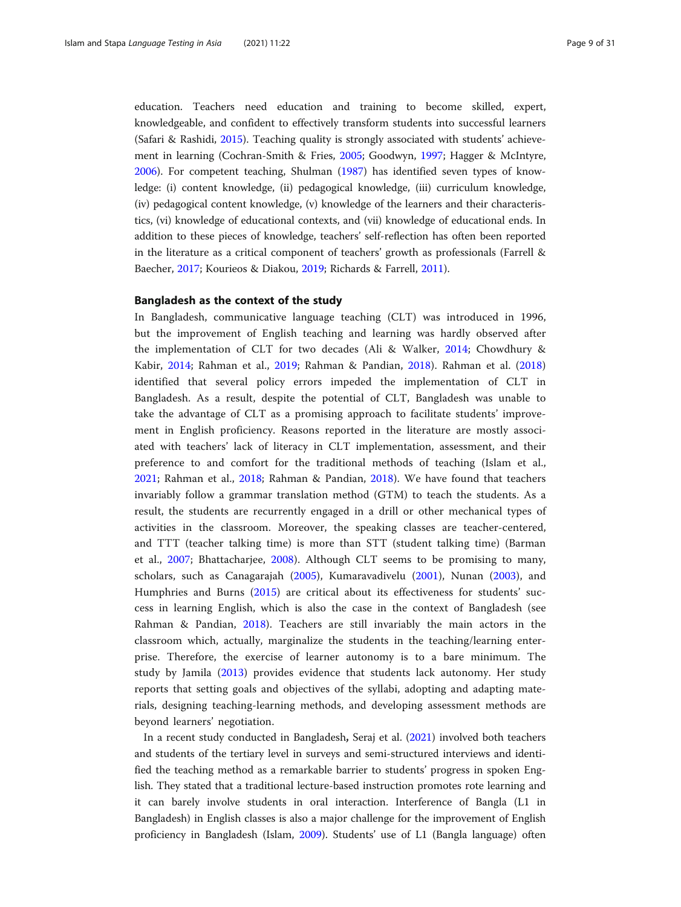education. Teachers need education and training to become skilled, expert, knowledgeable, and confident to effectively transform students into successful learners (Safari & Rashidi, [2015](#page-29-0)). Teaching quality is strongly associated with students' achievement in learning (Cochran-Smith & Fries, [2005;](#page-25-0) Goodwyn, [1997;](#page-26-0) Hagger & McIntyre, [2006](#page-26-0)). For competent teaching, Shulman [\(1987](#page-29-0)) has identified seven types of knowledge: (i) content knowledge, (ii) pedagogical knowledge, (iii) curriculum knowledge, (iv) pedagogical content knowledge, (v) knowledge of the learners and their characteristics, (vi) knowledge of educational contexts, and (vii) knowledge of educational ends. In addition to these pieces of knowledge, teachers' self-reflection has often been reported in the literature as a critical component of teachers' growth as professionals (Farrell & Baecher, [2017;](#page-26-0) Kourieos & Diakou, [2019;](#page-27-0) Richards & Farrell, [2011](#page-28-0)).

#### Bangladesh as the context of the study

In Bangladesh, communicative language teaching (CLT) was introduced in 1996, but the improvement of English teaching and learning was hardly observed after the implementation of CLT for two decades (Ali & Walker, [2014](#page-24-0); Chowdhury & Kabir, [2014;](#page-25-0) Rahman et al., [2019](#page-28-0); Rahman & Pandian, [2018](#page-28-0)). Rahman et al. [\(2018](#page-28-0)) identified that several policy errors impeded the implementation of CLT in Bangladesh. As a result, despite the potential of CLT, Bangladesh was unable to take the advantage of CLT as a promising approach to facilitate students' improvement in English proficiency. Reasons reported in the literature are mostly associated with teachers' lack of literacy in CLT implementation, assessment, and their preference to and comfort for the traditional methods of teaching (Islam et al., [2021;](#page-26-0) Rahman et al., [2018](#page-28-0); Rahman & Pandian, [2018](#page-28-0)). We have found that teachers invariably follow a grammar translation method (GTM) to teach the students. As a result, the students are recurrently engaged in a drill or other mechanical types of activities in the classroom. Moreover, the speaking classes are teacher-centered, and TTT (teacher talking time) is more than STT (student talking time) (Barman et al., [2007;](#page-25-0) Bhattacharjee, [2008](#page-25-0)). Although CLT seems to be promising to many, scholars, such as Canagarajah ([2005\)](#page-25-0), Kumaravadivelu ([2001\)](#page-27-0), Nunan ([2003\)](#page-28-0), and Humphries and Burns [\(2015](#page-26-0)) are critical about its effectiveness for students' success in learning English, which is also the case in the context of Bangladesh (see Rahman & Pandian, [2018\)](#page-28-0). Teachers are still invariably the main actors in the classroom which, actually, marginalize the students in the teaching/learning enterprise. Therefore, the exercise of learner autonomy is to a bare minimum. The study by Jamila [\(2013](#page-26-0)) provides evidence that students lack autonomy. Her study reports that setting goals and objectives of the syllabi, adopting and adapting materials, designing teaching-learning methods, and developing assessment methods are beyond learners' negotiation.

In a recent study conducted in Bangladesh, Seraj et al. [\(2021\)](#page-29-0) involved both teachers and students of the tertiary level in surveys and semi-structured interviews and identified the teaching method as a remarkable barrier to students' progress in spoken English. They stated that a traditional lecture-based instruction promotes rote learning and it can barely involve students in oral interaction. Interference of Bangla (L1 in Bangladesh) in English classes is also a major challenge for the improvement of English proficiency in Bangladesh (Islam, [2009](#page-26-0)). Students' use of L1 (Bangla language) often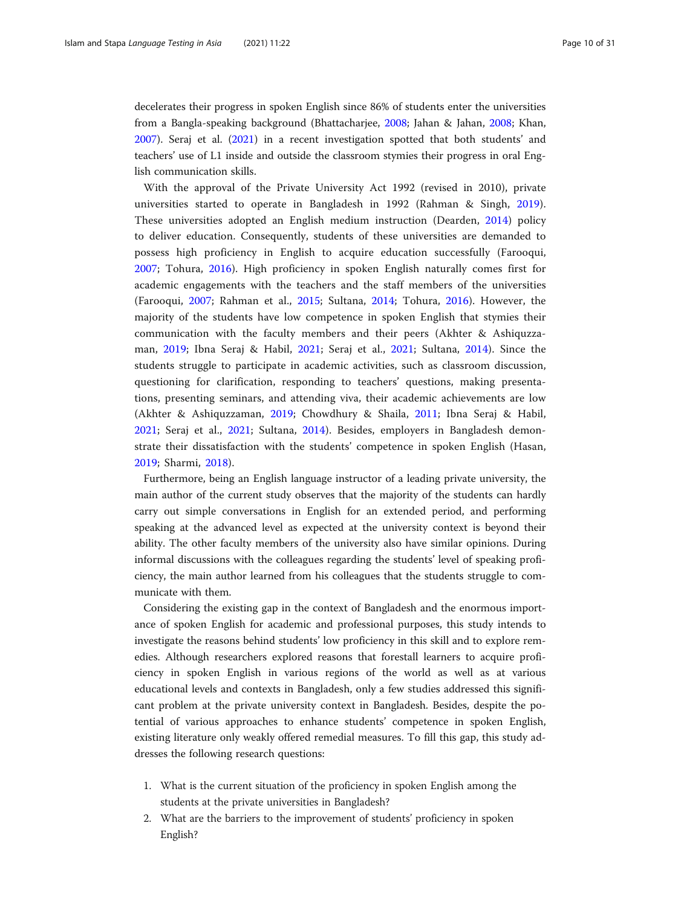decelerates their progress in spoken English since 86% of students enter the universities from a Bangla-speaking background (Bhattacharjee, [2008](#page-25-0); Jahan & Jahan, [2008;](#page-26-0) Khan, [2007](#page-27-0)). Seraj et al. ([2021\)](#page-29-0) in a recent investigation spotted that both students' and teachers' use of L1 inside and outside the classroom stymies their progress in oral English communication skills.

With the approval of the Private University Act 1992 (revised in 2010), private universities started to operate in Bangladesh in 1992 (Rahman & Singh, [2019](#page-28-0)). These universities adopted an English medium instruction (Dearden, [2014\)](#page-25-0) policy to deliver education. Consequently, students of these universities are demanded to possess high proficiency in English to acquire education successfully (Farooqui, [2007;](#page-26-0) Tohura, [2016\)](#page-29-0). High proficiency in spoken English naturally comes first for academic engagements with the teachers and the staff members of the universities (Farooqui, [2007](#page-26-0); Rahman et al., [2015](#page-28-0); Sultana, [2014](#page-29-0); Tohura, [2016](#page-29-0)). However, the majority of the students have low competence in spoken English that stymies their communication with the faculty members and their peers (Akhter & Ashiquzzaman, [2019;](#page-24-0) Ibna Seraj & Habil, [2021;](#page-26-0) Seraj et al., [2021](#page-29-0); Sultana, [2014](#page-29-0)). Since the students struggle to participate in academic activities, such as classroom discussion, questioning for clarification, responding to teachers' questions, making presentations, presenting seminars, and attending viva, their academic achievements are low (Akhter & Ashiquzzaman, [2019;](#page-24-0) Chowdhury & Shaila, [2011](#page-25-0); Ibna Seraj & Habil, [2021;](#page-26-0) Seraj et al., [2021](#page-29-0); Sultana, [2014\)](#page-29-0). Besides, employers in Bangladesh demonstrate their dissatisfaction with the students' competence in spoken English (Hasan, [2019;](#page-26-0) Sharmi, [2018\)](#page-29-0).

Furthermore, being an English language instructor of a leading private university, the main author of the current study observes that the majority of the students can hardly carry out simple conversations in English for an extended period, and performing speaking at the advanced level as expected at the university context is beyond their ability. The other faculty members of the university also have similar opinions. During informal discussions with the colleagues regarding the students' level of speaking proficiency, the main author learned from his colleagues that the students struggle to communicate with them.

Considering the existing gap in the context of Bangladesh and the enormous importance of spoken English for academic and professional purposes, this study intends to investigate the reasons behind students' low proficiency in this skill and to explore remedies. Although researchers explored reasons that forestall learners to acquire proficiency in spoken English in various regions of the world as well as at various educational levels and contexts in Bangladesh, only a few studies addressed this significant problem at the private university context in Bangladesh. Besides, despite the potential of various approaches to enhance students' competence in spoken English, existing literature only weakly offered remedial measures. To fill this gap, this study addresses the following research questions:

- 1. What is the current situation of the proficiency in spoken English among the students at the private universities in Bangladesh?
- 2. What are the barriers to the improvement of students' proficiency in spoken English?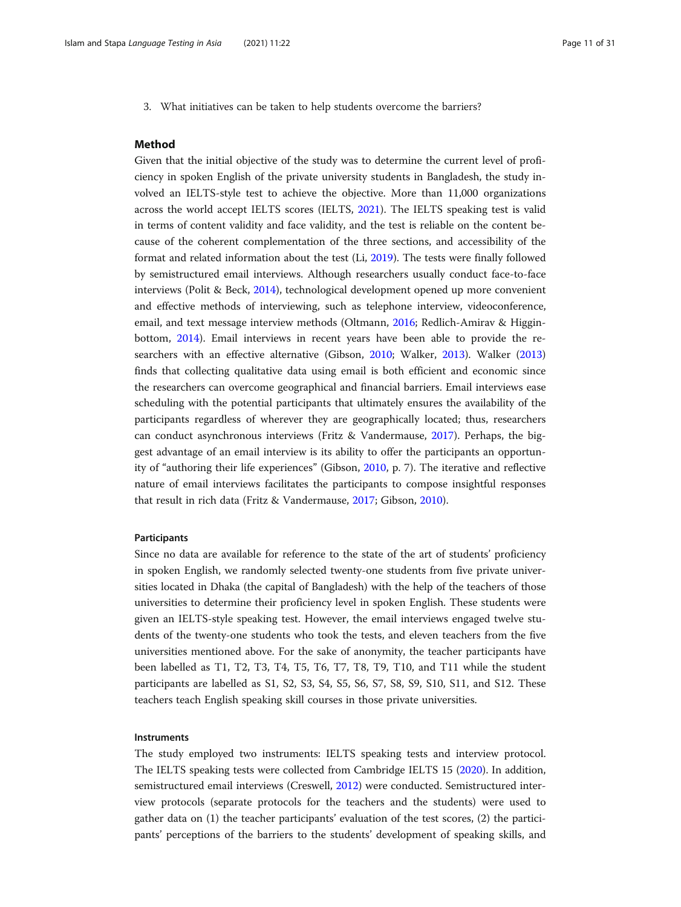3. What initiatives can be taken to help students overcome the barriers?

#### Method

Given that the initial objective of the study was to determine the current level of proficiency in spoken English of the private university students in Bangladesh, the study involved an IELTS-style test to achieve the objective. More than 11,000 organizations across the world accept IELTS scores (IELTS, [2021\)](#page-26-0). The IELTS speaking test is valid in terms of content validity and face validity, and the test is reliable on the content because of the coherent complementation of the three sections, and accessibility of the format and related information about the test (Li, [2019\)](#page-27-0). The tests were finally followed by semistructured email interviews. Although researchers usually conduct face-to-face interviews (Polit & Beck, [2014](#page-28-0)), technological development opened up more convenient and effective methods of interviewing, such as telephone interview, videoconference, email, and text message interview methods (Oltmann, [2016](#page-28-0); Redlich-Amirav & Higginbottom, [2014](#page-28-0)). Email interviews in recent years have been able to provide the researchers with an effective alternative (Gibson, [2010](#page-26-0); Walker, [2013\)](#page-29-0). Walker ([2013](#page-29-0)) finds that collecting qualitative data using email is both efficient and economic since the researchers can overcome geographical and financial barriers. Email interviews ease scheduling with the potential participants that ultimately ensures the availability of the participants regardless of wherever they are geographically located; thus, researchers can conduct asynchronous interviews (Fritz & Vandermause, [2017](#page-26-0)). Perhaps, the biggest advantage of an email interview is its ability to offer the participants an opportunity of "authoring their life experiences" (Gibson, [2010,](#page-26-0) p. 7). The iterative and reflective nature of email interviews facilitates the participants to compose insightful responses that result in rich data (Fritz & Vandermause, [2017](#page-26-0); Gibson, [2010](#page-26-0)).

#### Participants

Since no data are available for reference to the state of the art of students' proficiency in spoken English, we randomly selected twenty-one students from five private universities located in Dhaka (the capital of Bangladesh) with the help of the teachers of those universities to determine their proficiency level in spoken English. These students were given an IELTS-style speaking test. However, the email interviews engaged twelve students of the twenty-one students who took the tests, and eleven teachers from the five universities mentioned above. For the sake of anonymity, the teacher participants have been labelled as T1, T2, T3, T4, T5, T6, T7, T8, T9, T10, and T11 while the student participants are labelled as S1, S2, S3, S4, S5, S6, S7, S8, S9, S10, S11, and S12. These teachers teach English speaking skill courses in those private universities.

#### **Instruments**

The study employed two instruments: IELTS speaking tests and interview protocol. The IELTS speaking tests were collected from Cambridge IELTS 15 [\(2020\)](#page-25-0). In addition, semistructured email interviews (Creswell, [2012\)](#page-25-0) were conducted. Semistructured interview protocols (separate protocols for the teachers and the students) were used to gather data on (1) the teacher participants' evaluation of the test scores, (2) the participants' perceptions of the barriers to the students' development of speaking skills, and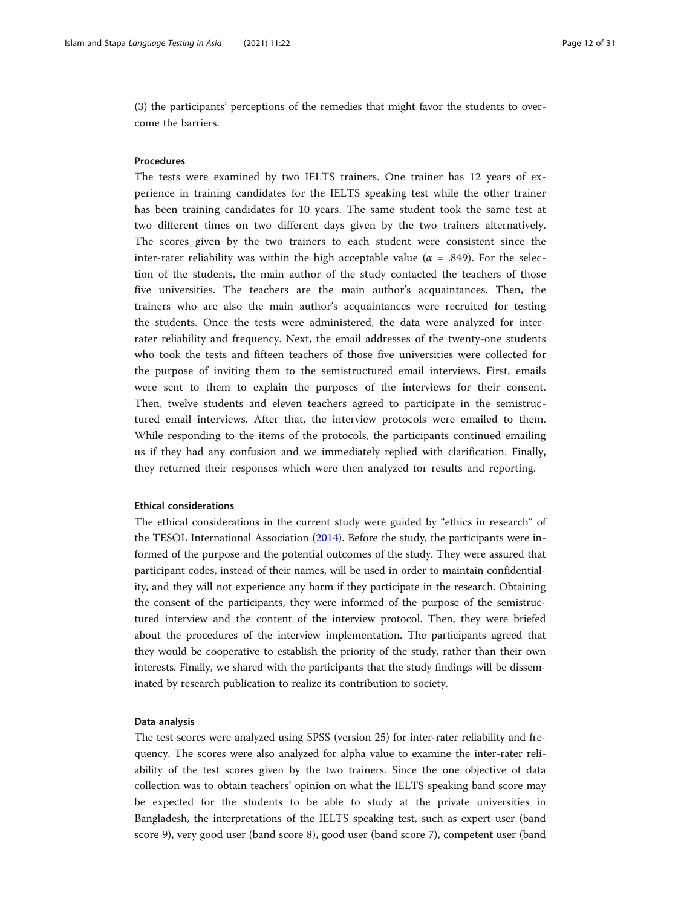(3) the participants' perceptions of the remedies that might favor the students to overcome the barriers.

#### Procedures

The tests were examined by two IELTS trainers. One trainer has 12 years of experience in training candidates for the IELTS speaking test while the other trainer has been training candidates for 10 years. The same student took the same test at two different times on two different days given by the two trainers alternatively. The scores given by the two trainers to each student were consistent since the inter-rater reliability was within the high acceptable value ( $\alpha$  = .849). For the selection of the students, the main author of the study contacted the teachers of those five universities. The teachers are the main author's acquaintances. Then, the trainers who are also the main author's acquaintances were recruited for testing the students. Once the tests were administered, the data were analyzed for interrater reliability and frequency. Next, the email addresses of the twenty-one students who took the tests and fifteen teachers of those five universities were collected for the purpose of inviting them to the semistructured email interviews. First, emails were sent to them to explain the purposes of the interviews for their consent. Then, twelve students and eleven teachers agreed to participate in the semistructured email interviews. After that, the interview protocols were emailed to them. While responding to the items of the protocols, the participants continued emailing us if they had any confusion and we immediately replied with clarification. Finally, they returned their responses which were then analyzed for results and reporting.

#### Ethical considerations

The ethical considerations in the current study were guided by "ethics in research" of the TESOL International Association [\(2014\)](#page-29-0). Before the study, the participants were informed of the purpose and the potential outcomes of the study. They were assured that participant codes, instead of their names, will be used in order to maintain confidentiality, and they will not experience any harm if they participate in the research. Obtaining the consent of the participants, they were informed of the purpose of the semistructured interview and the content of the interview protocol. Then, they were briefed about the procedures of the interview implementation. The participants agreed that they would be cooperative to establish the priority of the study, rather than their own interests. Finally, we shared with the participants that the study findings will be disseminated by research publication to realize its contribution to society.

#### Data analysis

The test scores were analyzed using SPSS (version 25) for inter-rater reliability and frequency. The scores were also analyzed for alpha value to examine the inter-rater reliability of the test scores given by the two trainers. Since the one objective of data collection was to obtain teachers' opinion on what the IELTS speaking band score may be expected for the students to be able to study at the private universities in Bangladesh, the interpretations of the IELTS speaking test, such as expert user (band score 9), very good user (band score 8), good user (band score 7), competent user (band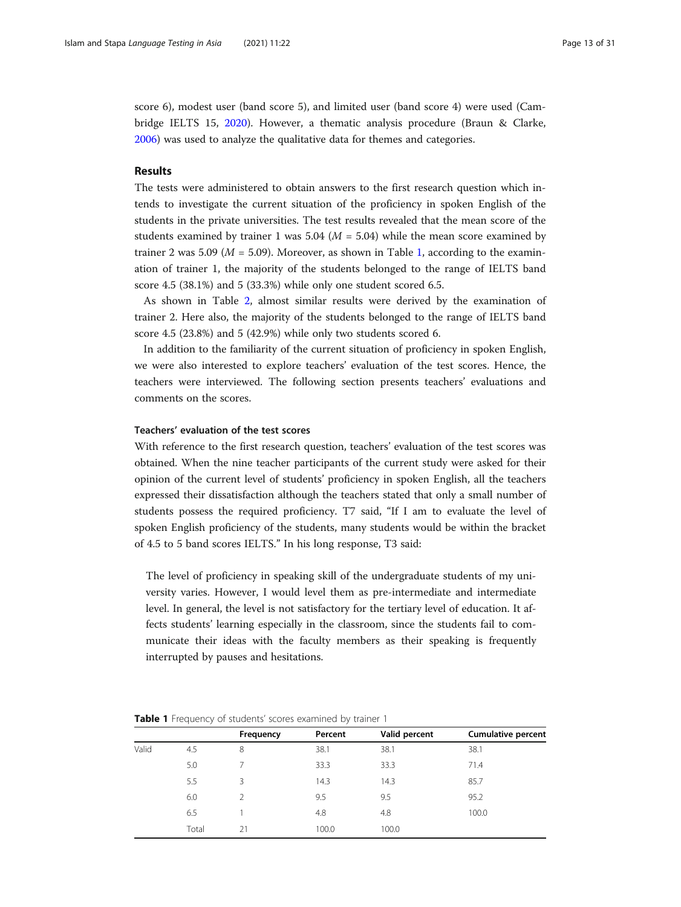score 6), modest user (band score 5), and limited user (band score 4) were used (Cambridge IELTS 15, [2020](#page-25-0)). However, a thematic analysis procedure (Braun & Clarke, [2006](#page-25-0)) was used to analyze the qualitative data for themes and categories.

#### Results

The tests were administered to obtain answers to the first research question which intends to investigate the current situation of the proficiency in spoken English of the students in the private universities. The test results revealed that the mean score of the students examined by trainer 1 was 5.04 ( $M = 5.04$ ) while the mean score examined by trainer 2 was 5.09 ( $M = 5.09$ ). Moreover, as shown in Table 1, according to the examination of trainer 1, the majority of the students belonged to the range of IELTS band score 4.5 (38.1%) and 5 (33.3%) while only one student scored 6.5.

As shown in Table [2,](#page-13-0) almost similar results were derived by the examination of trainer 2. Here also, the majority of the students belonged to the range of IELTS band score 4.5 (23.8%) and 5 (42.9%) while only two students scored 6.

In addition to the familiarity of the current situation of proficiency in spoken English, we were also interested to explore teachers' evaluation of the test scores. Hence, the teachers were interviewed. The following section presents teachers' evaluations and comments on the scores.

### Teachers' evaluation of the test scores

With reference to the first research question, teachers' evaluation of the test scores was obtained. When the nine teacher participants of the current study were asked for their opinion of the current level of students' proficiency in spoken English, all the teachers expressed their dissatisfaction although the teachers stated that only a small number of students possess the required proficiency. T7 said, "If I am to evaluate the level of spoken English proficiency of the students, many students would be within the bracket of 4.5 to 5 band scores IELTS." In his long response, T3 said:

The level of proficiency in speaking skill of the undergraduate students of my university varies. However, I would level them as pre-intermediate and intermediate level. In general, the level is not satisfactory for the tertiary level of education. It affects students' learning especially in the classroom, since the students fail to communicate their ideas with the faculty members as their speaking is frequently interrupted by pauses and hesitations.

Table 1 Frequency of students' scores examined by trainer 1

|       | $\overline{\phantom{a}}$ |           |         |               |                           |
|-------|--------------------------|-----------|---------|---------------|---------------------------|
|       |                          | Frequency | Percent | Valid percent | <b>Cumulative percent</b> |
| Valid | 4.5                      | 8         | 38.1    | 38.1          | 38.1                      |
|       | 5.0                      |           | 33.3    | 33.3          | 71.4                      |
|       | 5.5                      | 3         | 14.3    | 14.3          | 85.7                      |
|       | 6.0                      | 2         | 9.5     | 9.5           | 95.2                      |
|       | 6.5                      |           | 4.8     | 4.8           | 100.0                     |
|       | Total                    | 21        | 100.0   | 100.0         |                           |
|       |                          |           |         |               |                           |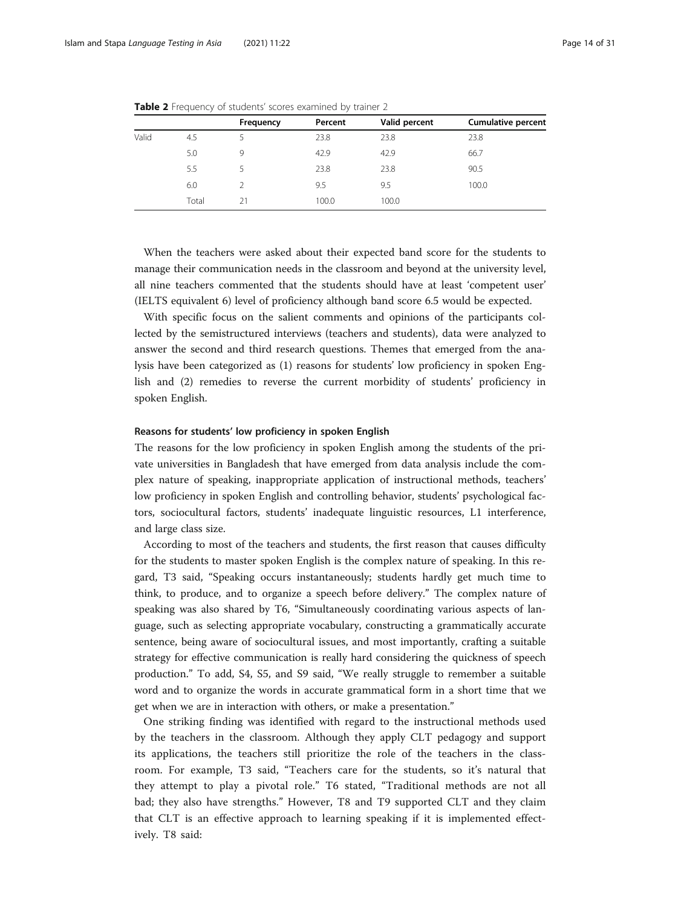|       |       | Frequency | Percent | Valid percent | <b>Cumulative percent</b> |
|-------|-------|-----------|---------|---------------|---------------------------|
| Valid | 4.5   |           | 23.8    | 23.8          | 23.8                      |
|       | 5.0   | 9         | 42.9    | 42.9          | 66.7                      |
|       | 5.5   |           | 23.8    | 23.8          | 90.5                      |
|       | 6.0   |           | 9.5     | 9.5           | 100.0                     |
|       | Total | 21        | 100.0   | 100.0         |                           |

<span id="page-13-0"></span>Table 2 Frequency of students' scores examined by trainer 2

When the teachers were asked about their expected band score for the students to manage their communication needs in the classroom and beyond at the university level, all nine teachers commented that the students should have at least 'competent user' (IELTS equivalent 6) level of proficiency although band score 6.5 would be expected.

With specific focus on the salient comments and opinions of the participants collected by the semistructured interviews (teachers and students), data were analyzed to answer the second and third research questions. Themes that emerged from the analysis have been categorized as (1) reasons for students' low proficiency in spoken English and (2) remedies to reverse the current morbidity of students' proficiency in spoken English.

#### Reasons for students' low proficiency in spoken English

The reasons for the low proficiency in spoken English among the students of the private universities in Bangladesh that have emerged from data analysis include the complex nature of speaking, inappropriate application of instructional methods, teachers' low proficiency in spoken English and controlling behavior, students' psychological factors, sociocultural factors, students' inadequate linguistic resources, L1 interference, and large class size.

According to most of the teachers and students, the first reason that causes difficulty for the students to master spoken English is the complex nature of speaking. In this regard, T3 said, "Speaking occurs instantaneously; students hardly get much time to think, to produce, and to organize a speech before delivery." The complex nature of speaking was also shared by T6, "Simultaneously coordinating various aspects of language, such as selecting appropriate vocabulary, constructing a grammatically accurate sentence, being aware of sociocultural issues, and most importantly, crafting a suitable strategy for effective communication is really hard considering the quickness of speech production." To add, S4, S5, and S9 said, "We really struggle to remember a suitable word and to organize the words in accurate grammatical form in a short time that we get when we are in interaction with others, or make a presentation."

One striking finding was identified with regard to the instructional methods used by the teachers in the classroom. Although they apply CLT pedagogy and support its applications, the teachers still prioritize the role of the teachers in the classroom. For example, T3 said, "Teachers care for the students, so it's natural that they attempt to play a pivotal role." T6 stated, "Traditional methods are not all bad; they also have strengths." However, T8 and T9 supported CLT and they claim that CLT is an effective approach to learning speaking if it is implemented effectively. T8 said: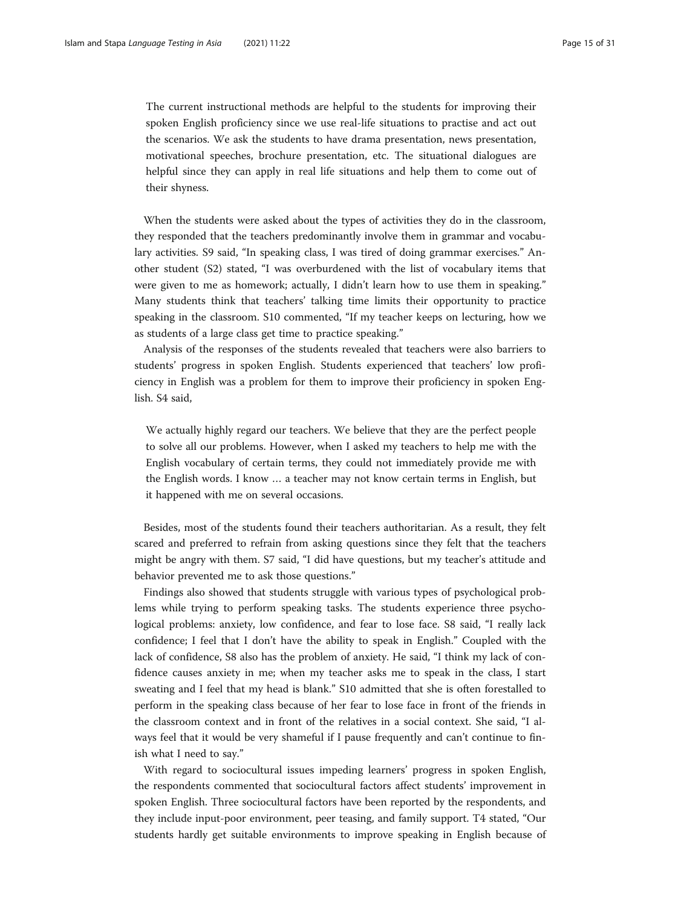The current instructional methods are helpful to the students for improving their spoken English proficiency since we use real-life situations to practise and act out the scenarios. We ask the students to have drama presentation, news presentation, motivational speeches, brochure presentation, etc. The situational dialogues are helpful since they can apply in real life situations and help them to come out of their shyness.

When the students were asked about the types of activities they do in the classroom, they responded that the teachers predominantly involve them in grammar and vocabulary activities. S9 said, "In speaking class, I was tired of doing grammar exercises." Another student (S2) stated, "I was overburdened with the list of vocabulary items that were given to me as homework; actually, I didn't learn how to use them in speaking." Many students think that teachers' talking time limits their opportunity to practice speaking in the classroom. S10 commented, "If my teacher keeps on lecturing, how we as students of a large class get time to practice speaking."

Analysis of the responses of the students revealed that teachers were also barriers to students' progress in spoken English. Students experienced that teachers' low proficiency in English was a problem for them to improve their proficiency in spoken English. S4 said,

We actually highly regard our teachers. We believe that they are the perfect people to solve all our problems. However, when I asked my teachers to help me with the English vocabulary of certain terms, they could not immediately provide me with the English words. I know … a teacher may not know certain terms in English, but it happened with me on several occasions.

Besides, most of the students found their teachers authoritarian. As a result, they felt scared and preferred to refrain from asking questions since they felt that the teachers might be angry with them. S7 said, "I did have questions, but my teacher's attitude and behavior prevented me to ask those questions."

Findings also showed that students struggle with various types of psychological problems while trying to perform speaking tasks. The students experience three psychological problems: anxiety, low confidence, and fear to lose face. S8 said, "I really lack confidence; I feel that I don't have the ability to speak in English." Coupled with the lack of confidence, S8 also has the problem of anxiety. He said, "I think my lack of confidence causes anxiety in me; when my teacher asks me to speak in the class, I start sweating and I feel that my head is blank." S10 admitted that she is often forestalled to perform in the speaking class because of her fear to lose face in front of the friends in the classroom context and in front of the relatives in a social context. She said, "I always feel that it would be very shameful if I pause frequently and can't continue to finish what I need to say."

With regard to sociocultural issues impeding learners' progress in spoken English, the respondents commented that sociocultural factors affect students' improvement in spoken English. Three sociocultural factors have been reported by the respondents, and they include input-poor environment, peer teasing, and family support. T4 stated, "Our students hardly get suitable environments to improve speaking in English because of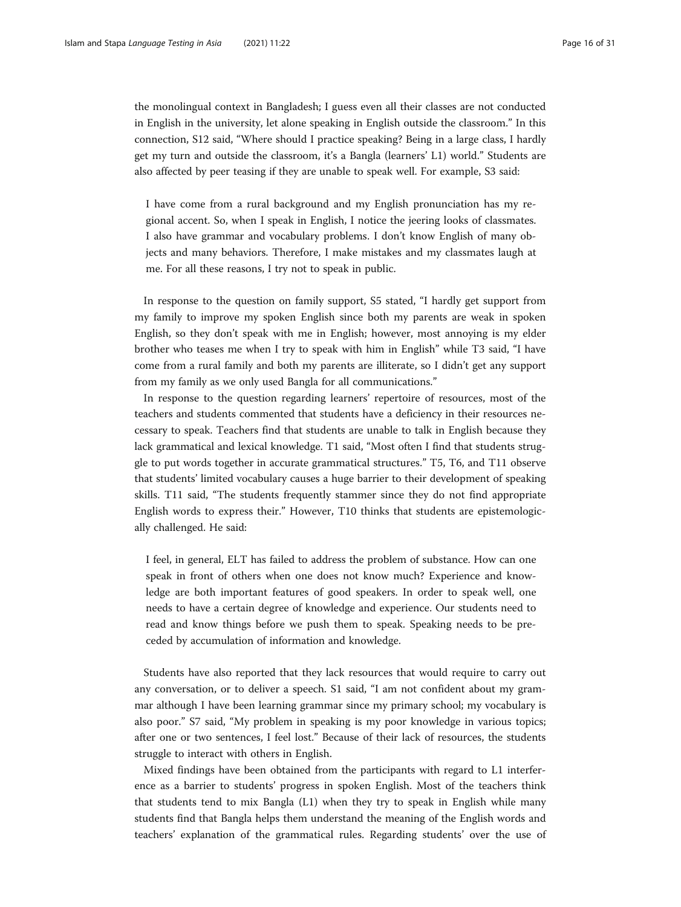the monolingual context in Bangladesh; I guess even all their classes are not conducted in English in the university, let alone speaking in English outside the classroom." In this connection, S12 said, "Where should I practice speaking? Being in a large class, I hardly get my turn and outside the classroom, it's a Bangla (learners' L1) world." Students are also affected by peer teasing if they are unable to speak well. For example, S3 said:

I have come from a rural background and my English pronunciation has my regional accent. So, when I speak in English, I notice the jeering looks of classmates. I also have grammar and vocabulary problems. I don't know English of many objects and many behaviors. Therefore, I make mistakes and my classmates laugh at me. For all these reasons, I try not to speak in public.

In response to the question on family support, S5 stated, "I hardly get support from my family to improve my spoken English since both my parents are weak in spoken English, so they don't speak with me in English; however, most annoying is my elder brother who teases me when I try to speak with him in English" while T3 said, "I have come from a rural family and both my parents are illiterate, so I didn't get any support from my family as we only used Bangla for all communications."

In response to the question regarding learners' repertoire of resources, most of the teachers and students commented that students have a deficiency in their resources necessary to speak. Teachers find that students are unable to talk in English because they lack grammatical and lexical knowledge. T1 said, "Most often I find that students struggle to put words together in accurate grammatical structures." T5, T6, and T11 observe that students' limited vocabulary causes a huge barrier to their development of speaking skills. T11 said, "The students frequently stammer since they do not find appropriate English words to express their." However, T10 thinks that students are epistemologically challenged. He said:

I feel, in general, ELT has failed to address the problem of substance. How can one speak in front of others when one does not know much? Experience and knowledge are both important features of good speakers. In order to speak well, one needs to have a certain degree of knowledge and experience. Our students need to read and know things before we push them to speak. Speaking needs to be preceded by accumulation of information and knowledge.

Students have also reported that they lack resources that would require to carry out any conversation, or to deliver a speech. S1 said, "I am not confident about my grammar although I have been learning grammar since my primary school; my vocabulary is also poor." S7 said, "My problem in speaking is my poor knowledge in various topics; after one or two sentences, I feel lost." Because of their lack of resources, the students struggle to interact with others in English.

Mixed findings have been obtained from the participants with regard to L1 interference as a barrier to students' progress in spoken English. Most of the teachers think that students tend to mix Bangla (L1) when they try to speak in English while many students find that Bangla helps them understand the meaning of the English words and teachers' explanation of the grammatical rules. Regarding students' over the use of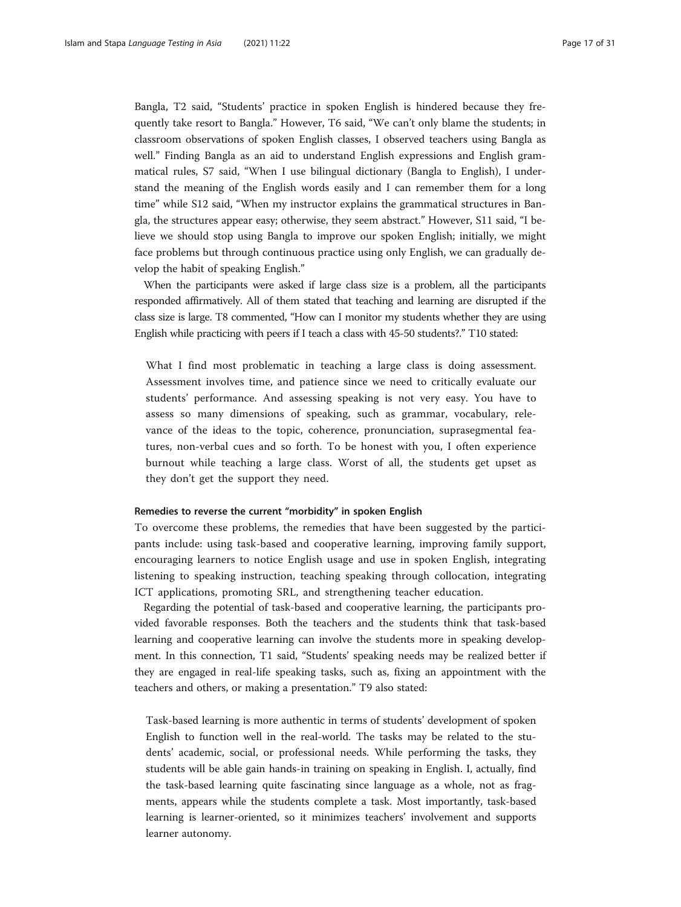Bangla, T2 said, "Students' practice in spoken English is hindered because they frequently take resort to Bangla." However, T6 said, "We can't only blame the students; in classroom observations of spoken English classes, I observed teachers using Bangla as well." Finding Bangla as an aid to understand English expressions and English grammatical rules, S7 said, "When I use bilingual dictionary (Bangla to English), I understand the meaning of the English words easily and I can remember them for a long time" while S12 said, "When my instructor explains the grammatical structures in Bangla, the structures appear easy; otherwise, they seem abstract." However, S11 said, "I believe we should stop using Bangla to improve our spoken English; initially, we might face problems but through continuous practice using only English, we can gradually develop the habit of speaking English."

When the participants were asked if large class size is a problem, all the participants responded affirmatively. All of them stated that teaching and learning are disrupted if the class size is large. T8 commented, "How can I monitor my students whether they are using English while practicing with peers if I teach a class with 45-50 students?." T10 stated:

What I find most problematic in teaching a large class is doing assessment. Assessment involves time, and patience since we need to critically evaluate our students' performance. And assessing speaking is not very easy. You have to assess so many dimensions of speaking, such as grammar, vocabulary, relevance of the ideas to the topic, coherence, pronunciation, suprasegmental features, non-verbal cues and so forth. To be honest with you, I often experience burnout while teaching a large class. Worst of all, the students get upset as they don't get the support they need.

#### Remedies to reverse the current "morbidity" in spoken English

To overcome these problems, the remedies that have been suggested by the participants include: using task-based and cooperative learning, improving family support, encouraging learners to notice English usage and use in spoken English, integrating listening to speaking instruction, teaching speaking through collocation, integrating ICT applications, promoting SRL, and strengthening teacher education.

Regarding the potential of task-based and cooperative learning, the participants provided favorable responses. Both the teachers and the students think that task-based learning and cooperative learning can involve the students more in speaking development. In this connection, T1 said, "Students' speaking needs may be realized better if they are engaged in real-life speaking tasks, such as, fixing an appointment with the teachers and others, or making a presentation." T9 also stated:

Task-based learning is more authentic in terms of students' development of spoken English to function well in the real-world. The tasks may be related to the students' academic, social, or professional needs. While performing the tasks, they students will be able gain hands-in training on speaking in English. I, actually, find the task-based learning quite fascinating since language as a whole, not as fragments, appears while the students complete a task. Most importantly, task-based learning is learner-oriented, so it minimizes teachers' involvement and supports learner autonomy.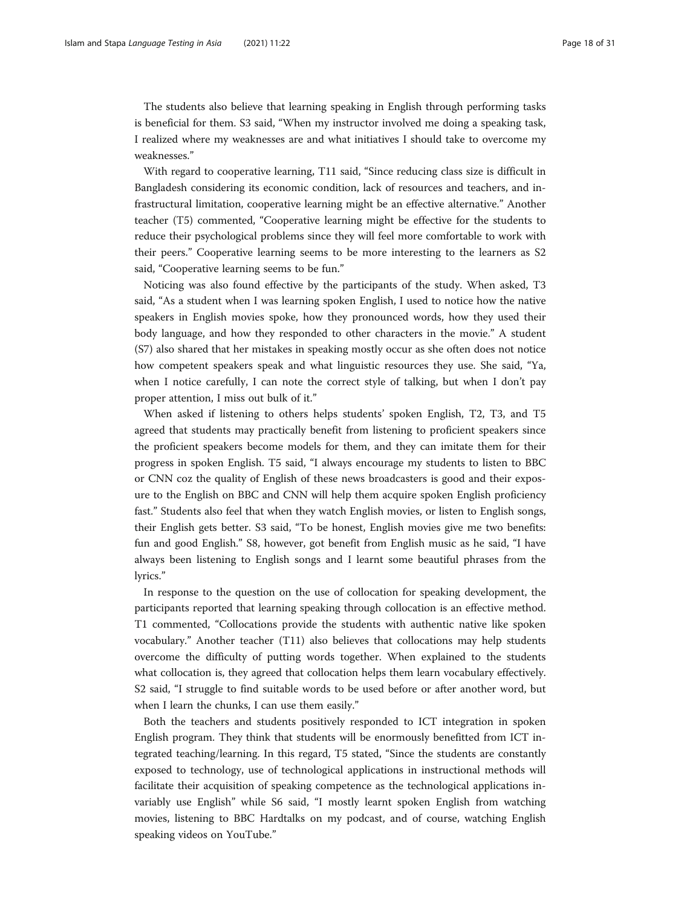The students also believe that learning speaking in English through performing tasks is beneficial for them. S3 said, "When my instructor involved me doing a speaking task, I realized where my weaknesses are and what initiatives I should take to overcome my weaknesses."

With regard to cooperative learning, T11 said, "Since reducing class size is difficult in Bangladesh considering its economic condition, lack of resources and teachers, and infrastructural limitation, cooperative learning might be an effective alternative." Another teacher (T5) commented, "Cooperative learning might be effective for the students to reduce their psychological problems since they will feel more comfortable to work with their peers." Cooperative learning seems to be more interesting to the learners as S2 said, "Cooperative learning seems to be fun."

Noticing was also found effective by the participants of the study. When asked, T3 said, "As a student when I was learning spoken English, I used to notice how the native speakers in English movies spoke, how they pronounced words, how they used their body language, and how they responded to other characters in the movie." A student (S7) also shared that her mistakes in speaking mostly occur as she often does not notice how competent speakers speak and what linguistic resources they use. She said, "Ya, when I notice carefully, I can note the correct style of talking, but when I don't pay proper attention, I miss out bulk of it."

When asked if listening to others helps students' spoken English, T2, T3, and T5 agreed that students may practically benefit from listening to proficient speakers since the proficient speakers become models for them, and they can imitate them for their progress in spoken English. T5 said, "I always encourage my students to listen to BBC or CNN coz the quality of English of these news broadcasters is good and their exposure to the English on BBC and CNN will help them acquire spoken English proficiency fast." Students also feel that when they watch English movies, or listen to English songs, their English gets better. S3 said, "To be honest, English movies give me two benefits: fun and good English." S8, however, got benefit from English music as he said, "I have always been listening to English songs and I learnt some beautiful phrases from the lyrics."

In response to the question on the use of collocation for speaking development, the participants reported that learning speaking through collocation is an effective method. T1 commented, "Collocations provide the students with authentic native like spoken vocabulary." Another teacher (T11) also believes that collocations may help students overcome the difficulty of putting words together. When explained to the students what collocation is, they agreed that collocation helps them learn vocabulary effectively. S2 said, "I struggle to find suitable words to be used before or after another word, but when I learn the chunks, I can use them easily."

Both the teachers and students positively responded to ICT integration in spoken English program. They think that students will be enormously benefitted from ICT integrated teaching/learning. In this regard, T5 stated, "Since the students are constantly exposed to technology, use of technological applications in instructional methods will facilitate their acquisition of speaking competence as the technological applications invariably use English" while S6 said, "I mostly learnt spoken English from watching movies, listening to BBC Hardtalks on my podcast, and of course, watching English speaking videos on YouTube."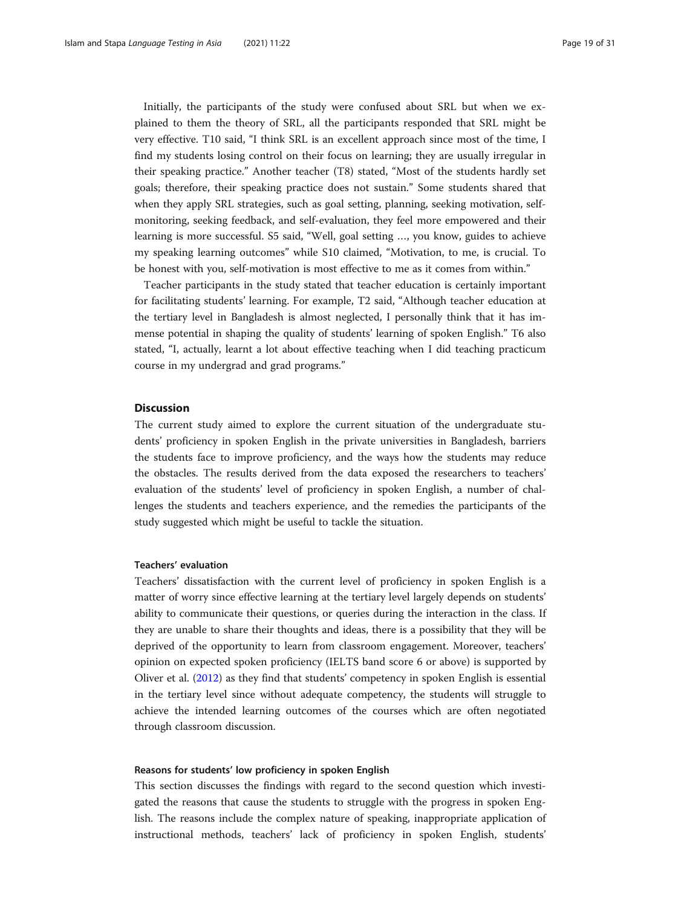Initially, the participants of the study were confused about SRL but when we explained to them the theory of SRL, all the participants responded that SRL might be very effective. T10 said, "I think SRL is an excellent approach since most of the time, I find my students losing control on their focus on learning; they are usually irregular in their speaking practice." Another teacher (T8) stated, "Most of the students hardly set goals; therefore, their speaking practice does not sustain." Some students shared that when they apply SRL strategies, such as goal setting, planning, seeking motivation, selfmonitoring, seeking feedback, and self-evaluation, they feel more empowered and their learning is more successful. S5 said, "Well, goal setting …, you know, guides to achieve my speaking learning outcomes" while S10 claimed, "Motivation, to me, is crucial. To be honest with you, self-motivation is most effective to me as it comes from within."

Teacher participants in the study stated that teacher education is certainly important for facilitating students' learning. For example, T2 said, "Although teacher education at the tertiary level in Bangladesh is almost neglected, I personally think that it has immense potential in shaping the quality of students' learning of spoken English." T6 also stated, "I, actually, learnt a lot about effective teaching when I did teaching practicum course in my undergrad and grad programs."

#### Discussion

The current study aimed to explore the current situation of the undergraduate students' proficiency in spoken English in the private universities in Bangladesh, barriers the students face to improve proficiency, and the ways how the students may reduce the obstacles. The results derived from the data exposed the researchers to teachers' evaluation of the students' level of proficiency in spoken English, a number of challenges the students and teachers experience, and the remedies the participants of the study suggested which might be useful to tackle the situation.

#### Teachers' evaluation

Teachers' dissatisfaction with the current level of proficiency in spoken English is a matter of worry since effective learning at the tertiary level largely depends on students' ability to communicate their questions, or queries during the interaction in the class. If they are unable to share their thoughts and ideas, there is a possibility that they will be deprived of the opportunity to learn from classroom engagement. Moreover, teachers' opinion on expected spoken proficiency (IELTS band score 6 or above) is supported by Oliver et al. ([2012](#page-28-0)) as they find that students' competency in spoken English is essential in the tertiary level since without adequate competency, the students will struggle to achieve the intended learning outcomes of the courses which are often negotiated through classroom discussion.

#### Reasons for students' low proficiency in spoken English

This section discusses the findings with regard to the second question which investigated the reasons that cause the students to struggle with the progress in spoken English. The reasons include the complex nature of speaking, inappropriate application of instructional methods, teachers' lack of proficiency in spoken English, students'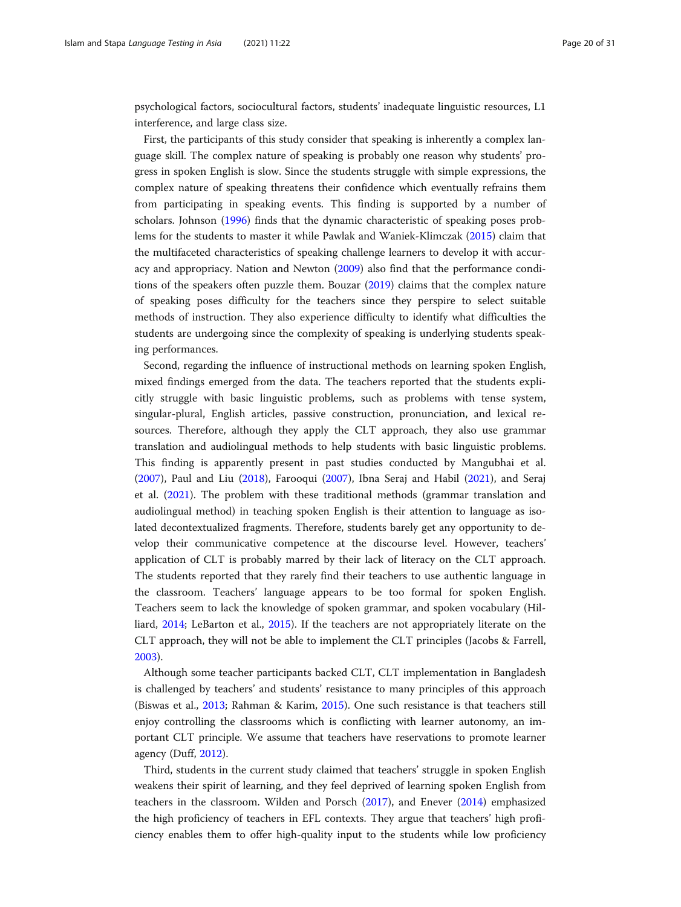psychological factors, sociocultural factors, students' inadequate linguistic resources, L1 interference, and large class size.

First, the participants of this study consider that speaking is inherently a complex language skill. The complex nature of speaking is probably one reason why students' progress in spoken English is slow. Since the students struggle with simple expressions, the complex nature of speaking threatens their confidence which eventually refrains them from participating in speaking events. This finding is supported by a number of scholars. Johnson [\(1996](#page-26-0)) finds that the dynamic characteristic of speaking poses problems for the students to master it while Pawlak and Waniek-Klimczak ([2015](#page-28-0)) claim that the multifaceted characteristics of speaking challenge learners to develop it with accuracy and appropriacy. Nation and Newton [\(2009](#page-28-0)) also find that the performance conditions of the speakers often puzzle them. Bouzar [\(2019\)](#page-25-0) claims that the complex nature of speaking poses difficulty for the teachers since they perspire to select suitable methods of instruction. They also experience difficulty to identify what difficulties the students are undergoing since the complexity of speaking is underlying students speaking performances.

Second, regarding the influence of instructional methods on learning spoken English, mixed findings emerged from the data. The teachers reported that the students explicitly struggle with basic linguistic problems, such as problems with tense system, singular-plural, English articles, passive construction, pronunciation, and lexical resources. Therefore, although they apply the CLT approach, they also use grammar translation and audiolingual methods to help students with basic linguistic problems. This finding is apparently present in past studies conducted by Mangubhai et al. ([2007](#page-27-0)), Paul and Liu ([2018\)](#page-28-0), Farooqui ([2007\)](#page-26-0), Ibna Seraj and Habil [\(2021\)](#page-26-0), and Seraj et al. [\(2021](#page-29-0)). The problem with these traditional methods (grammar translation and audiolingual method) in teaching spoken English is their attention to language as isolated decontextualized fragments. Therefore, students barely get any opportunity to develop their communicative competence at the discourse level. However, teachers' application of CLT is probably marred by their lack of literacy on the CLT approach. The students reported that they rarely find their teachers to use authentic language in the classroom. Teachers' language appears to be too formal for spoken English. Teachers seem to lack the knowledge of spoken grammar, and spoken vocabulary (Hilliard, [2014;](#page-26-0) LeBarton et al., [2015](#page-27-0)). If the teachers are not appropriately literate on the CLT approach, they will not be able to implement the CLT principles (Jacobs & Farrell, [2003](#page-26-0)).

Although some teacher participants backed CLT, CLT implementation in Bangladesh is challenged by teachers' and students' resistance to many principles of this approach (Biswas et al., [2013;](#page-25-0) Rahman & Karim, [2015](#page-28-0)). One such resistance is that teachers still enjoy controlling the classrooms which is conflicting with learner autonomy, an important CLT principle. We assume that teachers have reservations to promote learner agency (Duff, [2012](#page-25-0)).

Third, students in the current study claimed that teachers' struggle in spoken English weakens their spirit of learning, and they feel deprived of learning spoken English from teachers in the classroom. Wilden and Porsch ([2017](#page-29-0)), and Enever [\(2014\)](#page-26-0) emphasized the high proficiency of teachers in EFL contexts. They argue that teachers' high proficiency enables them to offer high-quality input to the students while low proficiency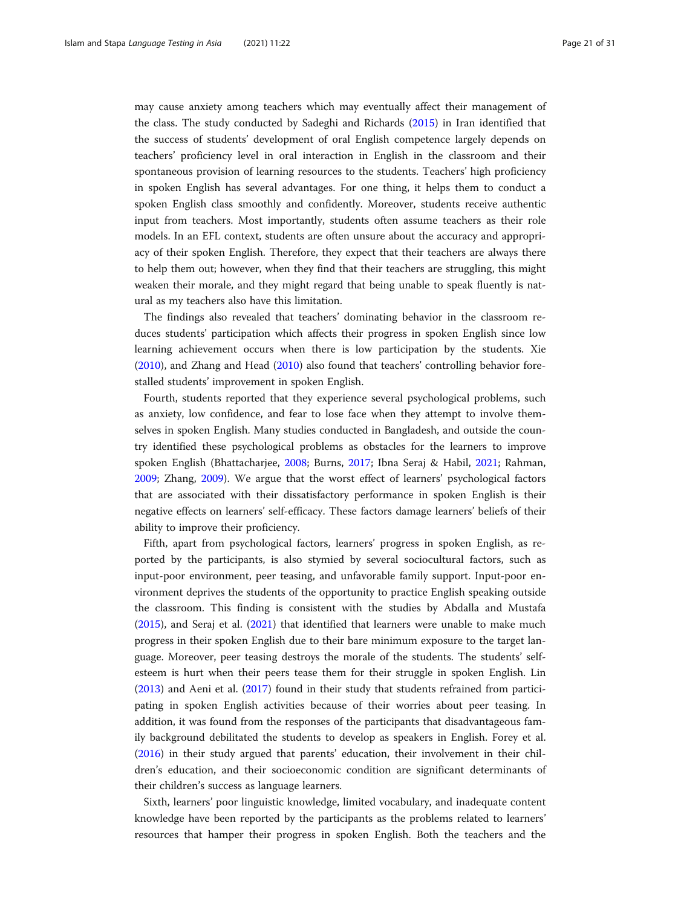may cause anxiety among teachers which may eventually affect their management of the class. The study conducted by Sadeghi and Richards ([2015](#page-29-0)) in Iran identified that the success of students' development of oral English competence largely depends on teachers' proficiency level in oral interaction in English in the classroom and their spontaneous provision of learning resources to the students. Teachers' high proficiency in spoken English has several advantages. For one thing, it helps them to conduct a spoken English class smoothly and confidently. Moreover, students receive authentic input from teachers. Most importantly, students often assume teachers as their role models. In an EFL context, students are often unsure about the accuracy and appropriacy of their spoken English. Therefore, they expect that their teachers are always there to help them out; however, when they find that their teachers are struggling, this might weaken their morale, and they might regard that being unable to speak fluently is natural as my teachers also have this limitation.

The findings also revealed that teachers' dominating behavior in the classroom reduces students' participation which affects their progress in spoken English since low learning achievement occurs when there is low participation by the students. Xie ([2010](#page-29-0)), and Zhang and Head [\(2010\)](#page-29-0) also found that teachers' controlling behavior forestalled students' improvement in spoken English.

Fourth, students reported that they experience several psychological problems, such as anxiety, low confidence, and fear to lose face when they attempt to involve themselves in spoken English. Many studies conducted in Bangladesh, and outside the country identified these psychological problems as obstacles for the learners to improve spoken English (Bhattacharjee, [2008](#page-25-0); Burns, [2017](#page-25-0); Ibna Seraj & Habil, [2021;](#page-26-0) Rahman, [2009](#page-28-0); Zhang, [2009\)](#page-29-0). We argue that the worst effect of learners' psychological factors that are associated with their dissatisfactory performance in spoken English is their negative effects on learners' self-efficacy. These factors damage learners' beliefs of their ability to improve their proficiency.

Fifth, apart from psychological factors, learners' progress in spoken English, as reported by the participants, is also stymied by several sociocultural factors, such as input-poor environment, peer teasing, and unfavorable family support. Input-poor environment deprives the students of the opportunity to practice English speaking outside the classroom. This finding is consistent with the studies by Abdalla and Mustafa ([2015](#page-24-0)), and Seraj et al. ([2021\)](#page-29-0) that identified that learners were unable to make much progress in their spoken English due to their bare minimum exposure to the target language. Moreover, peer teasing destroys the morale of the students. The students' selfesteem is hurt when their peers tease them for their struggle in spoken English. Lin ([2013](#page-27-0)) and Aeni et al. ([2017\)](#page-24-0) found in their study that students refrained from participating in spoken English activities because of their worries about peer teasing. In addition, it was found from the responses of the participants that disadvantageous family background debilitated the students to develop as speakers in English. Forey et al. ([2016](#page-26-0)) in their study argued that parents' education, their involvement in their children's education, and their socioeconomic condition are significant determinants of their children's success as language learners.

Sixth, learners' poor linguistic knowledge, limited vocabulary, and inadequate content knowledge have been reported by the participants as the problems related to learners' resources that hamper their progress in spoken English. Both the teachers and the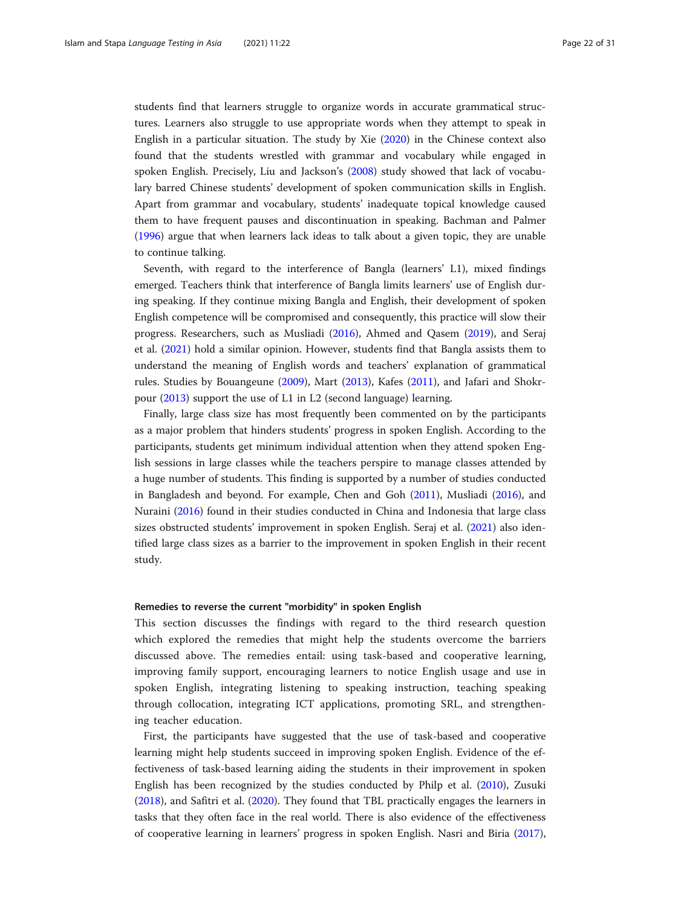students find that learners struggle to organize words in accurate grammatical structures. Learners also struggle to use appropriate words when they attempt to speak in English in a particular situation. The study by Xie ([2020\)](#page-29-0) in the Chinese context also found that the students wrestled with grammar and vocabulary while engaged in spoken English. Precisely, Liu and Jackson's [\(2008\)](#page-27-0) study showed that lack of vocabulary barred Chinese students' development of spoken communication skills in English. Apart from grammar and vocabulary, students' inadequate topical knowledge caused them to have frequent pauses and discontinuation in speaking. Bachman and Palmer ([1996](#page-25-0)) argue that when learners lack ideas to talk about a given topic, they are unable to continue talking.

Seventh, with regard to the interference of Bangla (learners' L1), mixed findings emerged. Teachers think that interference of Bangla limits learners' use of English during speaking. If they continue mixing Bangla and English, their development of spoken English competence will be compromised and consequently, this practice will slow their progress. Researchers, such as Musliadi [\(2016\)](#page-27-0), Ahmed and Qasem [\(2019\)](#page-24-0), and Seraj et al. [\(2021\)](#page-29-0) hold a similar opinion. However, students find that Bangla assists them to understand the meaning of English words and teachers' explanation of grammatical rules. Studies by Bouangeune [\(2009](#page-25-0)), Mart [\(2013\)](#page-27-0), Kafes ([2011](#page-27-0)), and Jafari and Shokrpour [\(2013\)](#page-26-0) support the use of L1 in L2 (second language) learning.

Finally, large class size has most frequently been commented on by the participants as a major problem that hinders students' progress in spoken English. According to the participants, students get minimum individual attention when they attend spoken English sessions in large classes while the teachers perspire to manage classes attended by a huge number of students. This finding is supported by a number of studies conducted in Bangladesh and beyond. For example, Chen and Goh [\(2011\)](#page-25-0), Musliadi ([2016](#page-27-0)), and Nuraini [\(2016\)](#page-28-0) found in their studies conducted in China and Indonesia that large class sizes obstructed students' improvement in spoken English. Seraj et al. [\(2021](#page-29-0)) also identified large class sizes as a barrier to the improvement in spoken English in their recent study.

#### Remedies to reverse the current "morbidity" in spoken English

This section discusses the findings with regard to the third research question which explored the remedies that might help the students overcome the barriers discussed above. The remedies entail: using task-based and cooperative learning, improving family support, encouraging learners to notice English usage and use in spoken English, integrating listening to speaking instruction, teaching speaking through collocation, integrating ICT applications, promoting SRL, and strengthening teacher education.

First, the participants have suggested that the use of task-based and cooperative learning might help students succeed in improving spoken English. Evidence of the effectiveness of task-based learning aiding the students in their improvement in spoken English has been recognized by the studies conducted by Philp et al. [\(2010\)](#page-28-0), Zusuki ([2018](#page-30-0)), and Safitri et al. [\(2020\)](#page-29-0). They found that TBL practically engages the learners in tasks that they often face in the real world. There is also evidence of the effectiveness of cooperative learning in learners' progress in spoken English. Nasri and Biria ([2017](#page-28-0)),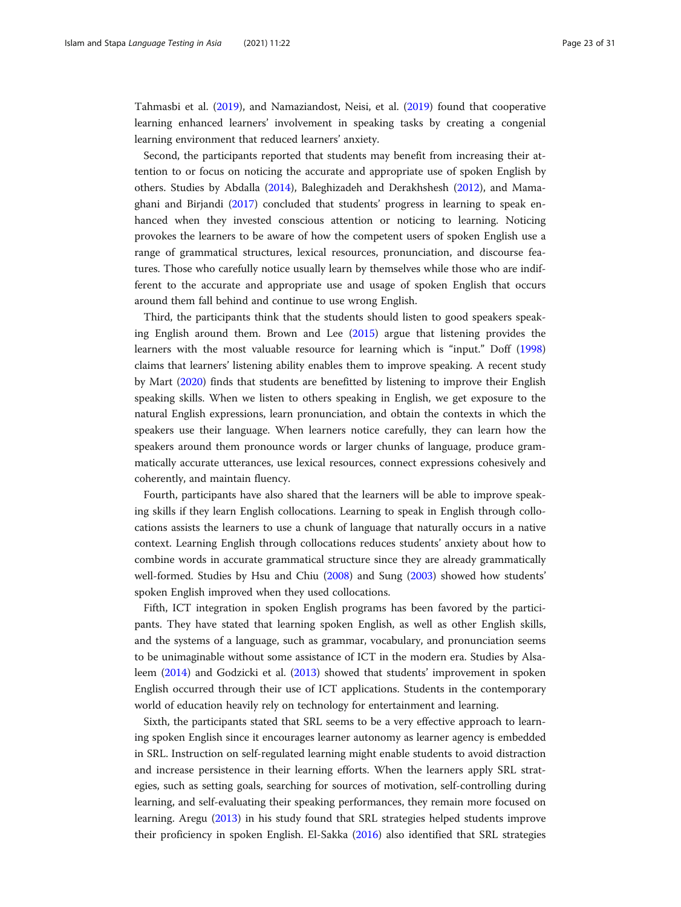Tahmasbi et al. [\(2019](#page-29-0)), and Namaziandost, Neisi, et al. [\(2019\)](#page-27-0) found that cooperative learning enhanced learners' involvement in speaking tasks by creating a congenial learning environment that reduced learners' anxiety.

Second, the participants reported that students may benefit from increasing their attention to or focus on noticing the accurate and appropriate use of spoken English by others. Studies by Abdalla ([2014](#page-24-0)), Baleghizadeh and Derakhshesh ([2012\)](#page-25-0), and Mamaghani and Birjandi ([2017\)](#page-27-0) concluded that students' progress in learning to speak enhanced when they invested conscious attention or noticing to learning. Noticing provokes the learners to be aware of how the competent users of spoken English use a range of grammatical structures, lexical resources, pronunciation, and discourse features. Those who carefully notice usually learn by themselves while those who are indifferent to the accurate and appropriate use and usage of spoken English that occurs around them fall behind and continue to use wrong English.

Third, the participants think that the students should listen to good speakers speaking English around them. Brown and Lee [\(2015\)](#page-25-0) argue that listening provides the learners with the most valuable resource for learning which is "input." Doff ([1998](#page-25-0)) claims that learners' listening ability enables them to improve speaking. A recent study by Mart ([2020](#page-27-0)) finds that students are benefitted by listening to improve their English speaking skills. When we listen to others speaking in English, we get exposure to the natural English expressions, learn pronunciation, and obtain the contexts in which the speakers use their language. When learners notice carefully, they can learn how the speakers around them pronounce words or larger chunks of language, produce grammatically accurate utterances, use lexical resources, connect expressions cohesively and coherently, and maintain fluency.

Fourth, participants have also shared that the learners will be able to improve speaking skills if they learn English collocations. Learning to speak in English through collocations assists the learners to use a chunk of language that naturally occurs in a native context. Learning English through collocations reduces students' anxiety about how to combine words in accurate grammatical structure since they are already grammatically well-formed. Studies by Hsu and Chiu ([2008\)](#page-26-0) and Sung [\(2003\)](#page-29-0) showed how students' spoken English improved when they used collocations.

Fifth, ICT integration in spoken English programs has been favored by the participants. They have stated that learning spoken English, as well as other English skills, and the systems of a language, such as grammar, vocabulary, and pronunciation seems to be unimaginable without some assistance of ICT in the modern era. Studies by Alsaleem [\(2014\)](#page-24-0) and Godzicki et al. [\(2013\)](#page-26-0) showed that students' improvement in spoken English occurred through their use of ICT applications. Students in the contemporary world of education heavily rely on technology for entertainment and learning.

Sixth, the participants stated that SRL seems to be a very effective approach to learning spoken English since it encourages learner autonomy as learner agency is embedded in SRL. Instruction on self-regulated learning might enable students to avoid distraction and increase persistence in their learning efforts. When the learners apply SRL strategies, such as setting goals, searching for sources of motivation, self-controlling during learning, and self-evaluating their speaking performances, they remain more focused on learning. Aregu [\(2013\)](#page-25-0) in his study found that SRL strategies helped students improve their proficiency in spoken English. El-Sakka [\(2016\)](#page-26-0) also identified that SRL strategies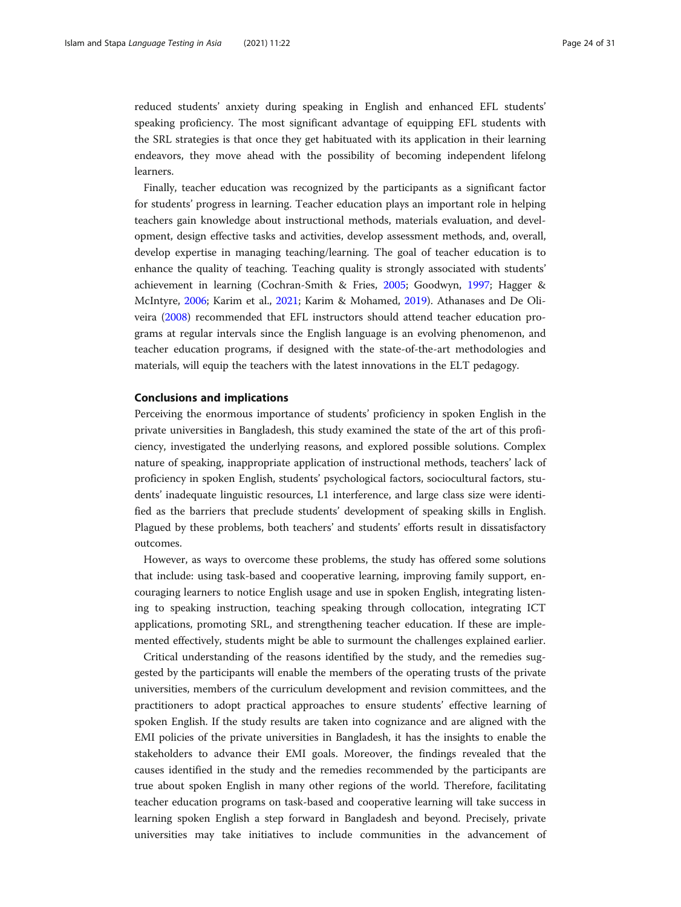reduced students' anxiety during speaking in English and enhanced EFL students' speaking proficiency. The most significant advantage of equipping EFL students with the SRL strategies is that once they get habituated with its application in their learning endeavors, they move ahead with the possibility of becoming independent lifelong learners.

Finally, teacher education was recognized by the participants as a significant factor for students' progress in learning. Teacher education plays an important role in helping teachers gain knowledge about instructional methods, materials evaluation, and development, design effective tasks and activities, develop assessment methods, and, overall, develop expertise in managing teaching/learning. The goal of teacher education is to enhance the quality of teaching. Teaching quality is strongly associated with students' achievement in learning (Cochran-Smith & Fries, [2005](#page-25-0); Goodwyn, [1997;](#page-26-0) Hagger & McIntyre, [2006;](#page-26-0) Karim et al., [2021](#page-27-0); Karim & Mohamed, [2019](#page-27-0)). Athanases and De Oliveira [\(2008\)](#page-25-0) recommended that EFL instructors should attend teacher education programs at regular intervals since the English language is an evolving phenomenon, and teacher education programs, if designed with the state-of-the-art methodologies and materials, will equip the teachers with the latest innovations in the ELT pedagogy.

#### Conclusions and implications

Perceiving the enormous importance of students' proficiency in spoken English in the private universities in Bangladesh, this study examined the state of the art of this proficiency, investigated the underlying reasons, and explored possible solutions. Complex nature of speaking, inappropriate application of instructional methods, teachers' lack of proficiency in spoken English, students' psychological factors, sociocultural factors, students' inadequate linguistic resources, L1 interference, and large class size were identified as the barriers that preclude students' development of speaking skills in English. Plagued by these problems, both teachers' and students' efforts result in dissatisfactory outcomes.

However, as ways to overcome these problems, the study has offered some solutions that include: using task-based and cooperative learning, improving family support, encouraging learners to notice English usage and use in spoken English, integrating listening to speaking instruction, teaching speaking through collocation, integrating ICT applications, promoting SRL, and strengthening teacher education. If these are implemented effectively, students might be able to surmount the challenges explained earlier.

Critical understanding of the reasons identified by the study, and the remedies suggested by the participants will enable the members of the operating trusts of the private universities, members of the curriculum development and revision committees, and the practitioners to adopt practical approaches to ensure students' effective learning of spoken English. If the study results are taken into cognizance and are aligned with the EMI policies of the private universities in Bangladesh, it has the insights to enable the stakeholders to advance their EMI goals. Moreover, the findings revealed that the causes identified in the study and the remedies recommended by the participants are true about spoken English in many other regions of the world. Therefore, facilitating teacher education programs on task-based and cooperative learning will take success in learning spoken English a step forward in Bangladesh and beyond. Precisely, private universities may take initiatives to include communities in the advancement of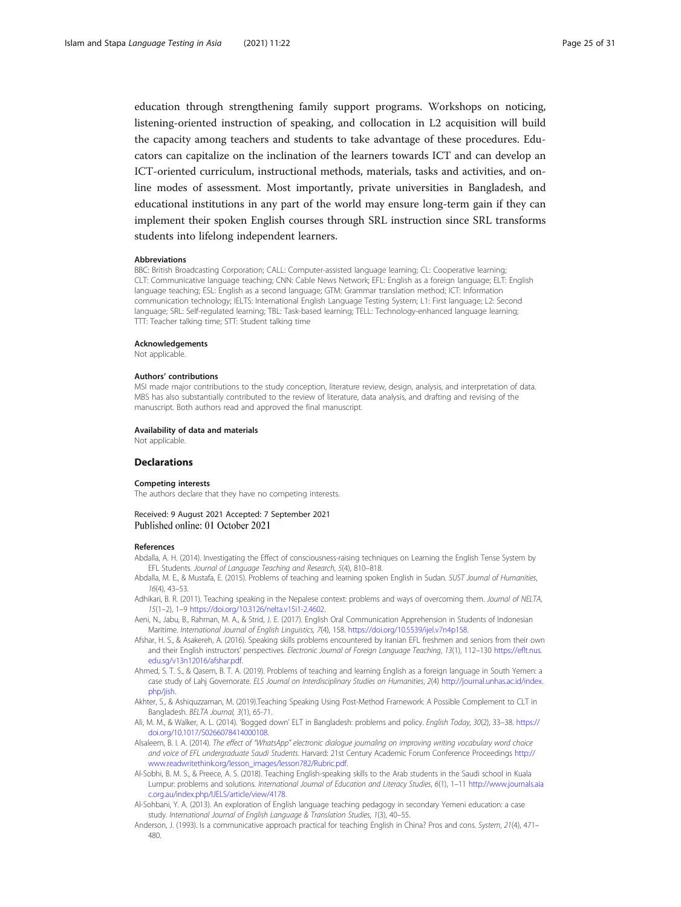<span id="page-24-0"></span>education through strengthening family support programs. Workshops on noticing, listening-oriented instruction of speaking, and collocation in L2 acquisition will build the capacity among teachers and students to take advantage of these procedures. Educators can capitalize on the inclination of the learners towards ICT and can develop an ICT-oriented curriculum, instructional methods, materials, tasks and activities, and online modes of assessment. Most importantly, private universities in Bangladesh, and educational institutions in any part of the world may ensure long-term gain if they can implement their spoken English courses through SRL instruction since SRL transforms students into lifelong independent learners.

#### Abbreviations

BBC: British Broadcasting Corporation; CALL: Computer-assisted language learning; CL: Cooperative learning; CLT: Communicative language teaching; CNN: Cable News Network; EFL: English as a foreign language; ELT: English language teaching; ESL: English as a second language; GTM: Grammar translation method; ICT: Information communication technology; IELTS: International English Language Testing System; L1: First language; L2: Second language; SRL: Self-regulated learning; TBL: Task-based learning; TELL: Technology-enhanced language learning; TTT: Teacher talking time; STT: Student talking time

#### Acknowledgements

Not applicable.

#### Authors' contributions

MSI made major contributions to the study conception, literature review, design, analysis, and interpretation of data. MBS has also substantially contributed to the review of literature, data analysis, and drafting and revising of the manuscript. Both authors read and approved the final manuscript.

#### Availability of data and materials

Not applicable.

#### **Declarations**

#### Competing interests

The authors declare that they have no competing interests.

#### Received: 9 August 2021 Accepted: 7 September 2021 Published online: 01 October 2021

#### References

- Abdalla, A. H. (2014). Investigating the Effect of consciousness-raising techniques on Learning the English Tense System by EFL Students. Journal of Language Teaching and Research, 5(4), 810–818.
- Abdalla, M. E., & Mustafa, E. (2015). Problems of teaching and learning spoken English in Sudan. SUST Journal of Humanities, 16(4), 43–53.
- Adhikari, B. R. (2011). Teaching speaking in the Nepalese context: problems and ways of overcoming them. Journal of NELTA, 15(1–2), 1–9 [https://doi.org/10.3126/nelta.v15i1-2.4602.](https://doi.org/10.3126/nelta.v15i1-2.4602)
- Aeni, N., Jabu, B., Rahman, M. A., & Strid, J. E. (2017). English Oral Communication Apprehension in Students of Indonesian Maritime. International Journal of English Linguistics, 7(4), 158. [https://doi.org/10.5539/ijel.v7n4p158.](https://doi.org/10.5539/ijel.v7n4p158)
- Afshar, H. S., & Asakereh, A. (2016). Speaking skills problems encountered by Iranian EFL freshmen and seniors from their own and their English instructors' perspectives. Electronic Journal of Foreign Language Teaching, 13(1), 112–130 [https://eflt.nus.](https://eflt.nus.edu.sg/v13n12016/afshar.pdf) [edu.sg/v13n12016/afshar.pdf](https://eflt.nus.edu.sg/v13n12016/afshar.pdf).
- Ahmed, S. T. S., & Qasem, B. T. A. (2019). Problems of teaching and learning English as a foreign language in South Yemen: a case study of Lahj Governorate. ELS Journal on Interdisciplinary Studies on Humanities, 2(4) [http://journal.unhas.ac.id/index.](http://journal.unhas.ac.id/index.php/jish) [php/jish.](http://journal.unhas.ac.id/index.php/jish)
- Akhter, S., & Ashiquzzaman, M. (2019).Teaching Speaking Using Post-Method Framework: A Possible Complement to CLT in Bangladesh. BELTA Journal, 3(1), 65-71.
- Ali, M. M., & Walker, A. L. (2014). 'Bogged down' ELT in Bangladesh: problems and policy. English Today, 30(2), 33–38. [https://](https://doi.org/10.1017/S0266078414000108) [doi.org/10.1017/S0266078414000108](https://doi.org/10.1017/S0266078414000108).
- Alsaleem, B. I. A. (2014). The effect of "WhatsApp" electronic dialogue journaling on improving writing vocabulary word choice and voice of EFL undergraduate Saudi Students. Harvard: 21st Century Academic Forum Conference Proceedings [http://](http://www.readwritethink.org/lesson_images/lesson782/Rubric.pdf) [www.readwritethink.org/lesson\\_images/lesson782/Rubric.pdf](http://www.readwritethink.org/lesson_images/lesson782/Rubric.pdf).
- Al-Sobhi, B. M. S., & Preece, A. S. (2018). Teaching English-speaking skills to the Arab students in the Saudi school in Kuala Lumpur: problems and solutions. International Journal of Education and Literacy Studies, 6(1), 1–11 [http://www.journals.aia](http://www.journals.aiac.org.au/index.php/IJELS/article/view/4178) [c.org.au/index.php/IJELS/article/view/4178.](http://www.journals.aiac.org.au/index.php/IJELS/article/view/4178)
- Al-Sohbani, Y. A. (2013). An exploration of English language teaching pedagogy in secondary Yemeni education: a case study. International Journal of English Language & Translation Studies, 1(3), 40–55.
- Anderson, J. (1993). Is a communicative approach practical for teaching English in China? Pros and cons. System, 21(4), 471– 480.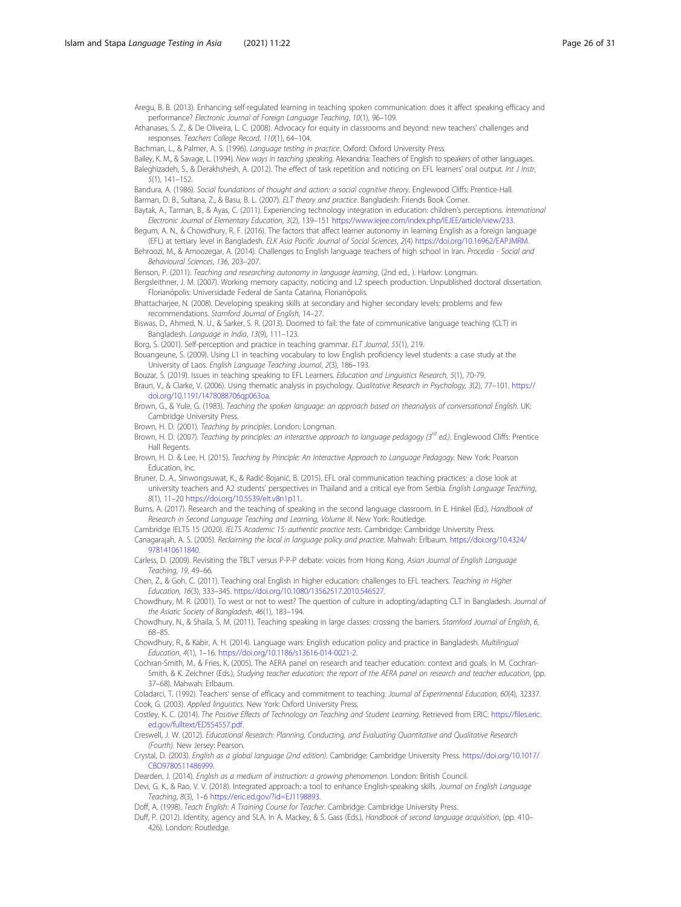<span id="page-25-0"></span>Aregu, B. B. (2013). Enhancing self-regulated learning in teaching spoken communication: does it affect speaking efficacy and performance? Electronic Journal of Foreign Language Teaching, 10(1), 96–109.

Athanases, S. Z., & De Oliveira, L. C. (2008). Advocacy for equity in classrooms and beyond: new teachers' challenges and responses. Teachers College Record, 110(1), 64–104.

Bachman, L., & Palmer, A. S. (1996). Language testing in practice. Oxford: Oxford University Press.

Bailey, K. M., & Savage, L. (1994). New ways in teaching speaking. Alexandria: Teachers of English to speakers of other languages. Baleghizadeh, S., & Derakhshesh, A. (2012). The effect of task repetition and noticing on EFL learners' oral output. Int J Instr,  $5(1)$ , 141–152.

Bandura, A. (1986). Social foundations of thought and action: a social cognitive theory. Englewood Cliffs: Prentice-Hall. Barman, D. B., Sultana, Z., & Basu, B. L. (2007). ELT theory and practice. Bangladesh: Friends Book Corner.

Baytak, A., Tarman, B., & Ayas, C. (2011). Experiencing technology integration in education: children's perceptions. International

Electronic Journal of Elementary Education, 3(2), 139–151 <https://www.iejee.com/index.php/IEJEE/article/view/233>.

Begum, A. N., & Chowdhury, R. F. (2016). The factors that affect learner autonomy in learning English as a foreign language (EFL) at tertiary level in Bangladesh. ELK Asia Pacific Journal of Social Sciences, 2(4) [https://doi.org/10.16962/EAPJMRM.](https://doi.org/10.16962/EAPJMRM)

Behroozi, M., & Amoozegar, A. (2014). Challenges to English language teachers of high school in Iran. Procedia - Social and Behavioural Sciences, 136, 203–207.

Benson, P. (2011). Teaching and researching autonomy in language learning, (2nd ed., ). Harlow: Longman.

Bergsleithner, J. M. (2007). Working memory capacity, noticing and L2 speech production. Unpublished doctoral dissertation. Florianópolis: Universidade Federal de Santa Catarina, Florianópolis.

Bhattacharjee, N. (2008). Developing speaking skills at secondary and higher secondary levels: problems and few recommendations. Stamford Journal of English, 14–27.

Biswas, D., Ahmed, N. U., & Sarker, S. R. (2013). Doomed to fail: the fate of communicative language teaching (CLT) in Bangladesh. Language in India, 13(9), 111–123.

Borg, S. (2001). Self-perception and practice in teaching grammar. ELT Journal, 55(1), 219.

Bouangeune, S. (2009). Using L1 in teaching vocabulary to low English proficiency level students: a case study at the University of Laos. English Language Teaching Journal, 2(3), 186–193.

Bouzar, S. (2019). Issues in teaching speaking to EFL Learners. Education and Linguistics Research, 5(1), 70-79. Braun, V., & Clarke, V. (2006). Using thematic analysis in psychology. Qualitative Research in Psychology, 3(2), 77–101. [https://](https://doi.org/10.1191/1478088706qp063oa) [doi.org/10.1191/1478088706qp063oa](https://doi.org/10.1191/1478088706qp063oa).

Brown, G., & Yule, G. (1983). Teaching the spoken language: an approach based on theanalysis of conversational English. UK: Cambridge University Press.

Brown, H. D. (2001). Teaching by principles. London: Longman.

Brown, H. D. (2007). Teaching by principles: an interactive approach to language pedagogy (3<sup>rd</sup> ed.). Englewood Cliffs: Prentice Hall Regents.

Brown, H. D. & Lee, H. (2015). Teaching by Principle: An Interactive Approach to Language Pedagogy. New York: Pearson Education, Inc.

Bruner, D. A., Sinwongsuwat, K., & Radić-Bojanić, B. (2015). EFL oral communication teaching practices: a close look at university teachers and A2 students' perspectives in Thailand and a critical eye from Serbia. English Language Teaching, 8(1), 11–20 [https://doi.org/10.5539/elt.v8n1p11.](https://doi.org/10.5539/elt.v8n1p11)

Burns, A. (2017). Research and the teaching of speaking in the second language classroom. In E. Hinkel (Ed.), Handbook of Research in Second Language Teaching and Learning, Volume III. New York: Routledge.

Cambridge IELTS 15 (2020). IELTS Academic 15: authentic practice tests. Cambridge: Cambridge University Press.

Canagarajah, A. S. (2005). Reclaiming the local in language policy and practice. Mahwah: Erlbaum. [https://doi.org/10.4324/](https://doi.org/10.4324/9781410611840) [9781410611840.](https://doi.org/10.4324/9781410611840)

Carless, D. (2009). Revisiting the TBLT versus P-P-P debate: voices from Hong Kong. Asian Journal of English Language Teaching, 19, 49–66.

Chen, Z., & Goh, C. (2011). Teaching oral English in higher education: challenges to EFL teachers. Teaching in Higher Education, 16(3), 333–345. [https://doi.org/10.1080/13562517.2010.546527.](https://doi.org/10.1080/13562517.2010.546527)

Chowdhury, M. R. (2001). To west or not to west? The question of culture in adopting/adapting CLT in Bangladesh. Journal of the Asiatic Society of Bangladesh, 46(1), 183–194.

Chowdhury, N., & Shaila, S. M. (2011). Teaching speaking in large classes: crossing the barriers. Stamford Journal of English, 6, 68–85.

Chowdhury, R., & Kabir, A. H. (2014). Language wars: English education policy and practice in Bangladesh. Multilingual Education, 4(1), 1–16. [https://doi.org/10.1186/s13616-014-0021-2.](https://doi.org/10.1186/s13616-014-0021-2)

Cochran-Smith, M., & Fries, K. (2005). The AERA panel on research and teacher education: context and goals. In M. Cochran-Smith, & K. Zeichner (Eds.), Studying teacher education: the report of the AERA panel on research and teacher education, (pp. 37–68). Mahwah: Erlbaum.

Coladarci, T. (1992). Teachers' sense of efficacy and commitment to teaching. Journal of Experimental Education, 60(4), 32337. Cook, G. (2003). Applied linguistics. New York: Oxford University Press.

Costley, K. C. (2014). The Positive Effects of Technology on Teaching and Student Learning. Retrieved from ERIC: [https://files.eric.](https://files.eric.ed.gov/fulltext/ED554557.pdf) [ed.gov/fulltext/ED554557.pdf](https://files.eric.ed.gov/fulltext/ED554557.pdf).

Creswell, J. W. (2012). Educational Research: Planning, Conducting, and Evaluating Quantitative and Qualitative Research (Fourth). New Jersey: Pearson.

Crystal, D. (2003). English as a global language (2nd edition). Cambridge: Cambridge University Press. [https://doi.org/10.1017/](https://doi.org/10.1017/CBO9780511486999) [CBO9780511486999](https://doi.org/10.1017/CBO9780511486999).

Dearden, J. (2014). English as a medium of instruction: a growing phenomenon. London: British Council.

Devi, G. K., & Rao, V. V. (2018). Integrated approach: a tool to enhance English-speaking skills. Journal on English Language Teaching, 8(3), 1–6 <https://eric.ed.gov/?id=EJ1198893>.

Doff, A. (1998). Teach English: A Training Course for Teacher. Cambridge: Cambridge University Press.

Duff, P. (2012). Identity, agency and SLA. In A. Mackey, & S. Gass (Eds.), Handbook of second language acquisition, (pp. 410– 426). London: Routledge.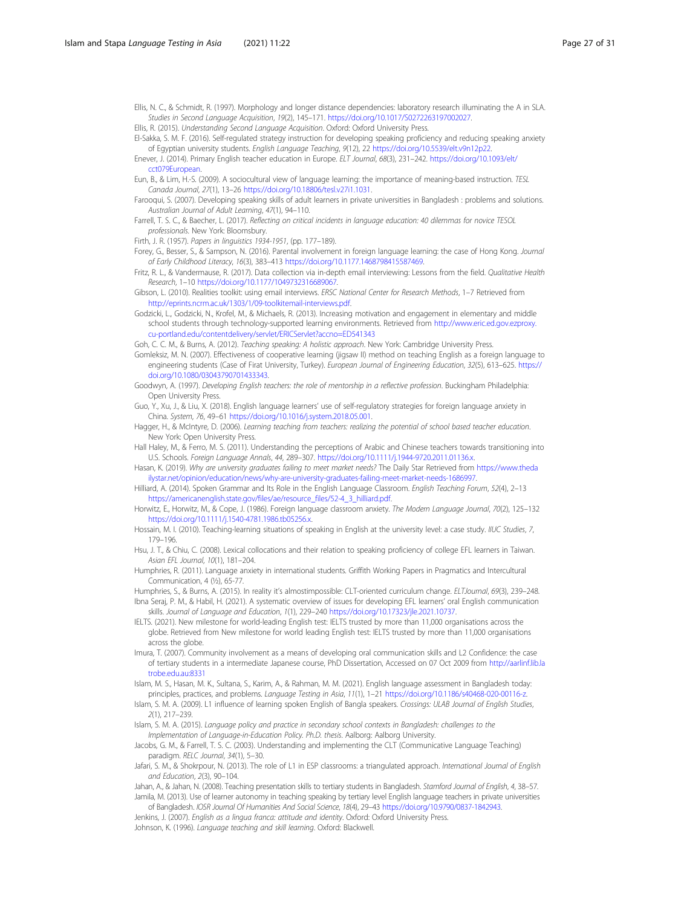<span id="page-26-0"></span>Ellis, N. C., & Schmidt, R. (1997). Morphology and longer distance dependencies: laboratory research illuminating the A in SLA. Studies in Second Language Acquisition, 19(2), 145–171. [https://doi.org/10.1017/S0272263197002027.](https://doi.org/10.1017/S0272263197002027)

Ellis, R. (2015). Understanding Second Language Acquisition. Oxford: Oxford University Press.

El-Sakka, S. M. F. (2016). Self-regulated strategy instruction for developing speaking proficiency and reducing speaking anxiety of Egyptian university students. English Language Teaching, 9(12), 22 <https://doi.org/10.5539/elt.v9n12p22>.

Enever, J. (2014). Primary English teacher education in Europe. ELT Journal, 68(3), 231–242. [https://doi.org/10.1093/elt/](https://doi.org/10.1093/elt/cct079European) [cct079European](https://doi.org/10.1093/elt/cct079European).

Eun, B., & Lim, H.-S. (2009). A sociocultural view of language learning: the importance of meaning-based instruction. TESL Canada Journal, 27(1), 13–26 <https://doi.org/10.18806/tesl.v27i1.1031>.

Farooqui, S. (2007). Developing speaking skills of adult learners in private universities in Bangladesh : problems and solutions. Australian Journal of Adult Learning, 47(1), 94–110.

Farrell, T. S. C., & Baecher, L. (2017). Reflecting on critical incidents in language education: 40 dilemmas for novice TESOL professionals. New York: Bloomsbury.

Firth, J. R. (1957). Papers in linguistics 1934-1951, (pp. 177–189).

Forey, G., Besser, S., & Sampson, N. (2016). Parental involvement in foreign language learning: the case of Hong Kong. Journal of Early Childhood Literacy, 16(3), 383–413 <https://doi.org/10.1177.1468798415587469>.

Fritz, R. L., & Vandermause, R. (2017). Data collection via in-depth email interviewing: Lessons from the field. Qualitative Health Research, 1–10 [https://doi.org/10.1177/1049732316689067.](https://doi.org/10.1177/1049732316689067)

Gibson, L. (2010). Realities toolkit: using email interviews. ERSC National Center for Research Methods, 1–7 Retrieved from <http://eprints.ncrm.ac.uk/1303/1/09-toolkitemail-interviews.pdf>.

Godzicki, L., Godzicki, N., Krofel, M., & Michaels, R. (2013). Increasing motivation and engagement in elementary and middle school students through technology-supported learning environments. Retrieved from [http://www.eric.ed.gov.ezproxy.](http://www.eric.ed.gov.ezproxy.cu-portland.edu/contentdelivery/servlet/ERICServlet?accno=ED541343) [cu-portland.edu/contentdelivery/servlet/ERICServlet?accno=ED541343](http://www.eric.ed.gov.ezproxy.cu-portland.edu/contentdelivery/servlet/ERICServlet?accno=ED541343)

Goh, C. C. M., & Burns, A. (2012). Teaching speaking: A holistic approach. New York: Cambridge University Press.

Gomleksiz, M. N. (2007). Effectiveness of cooperative learning (jigsaw II) method on teaching English as a foreign language to engineering students (Case of Firat University, Turkey). European Journal of Engineering Education, 32(5), 613–625. [https://](https://doi.org/10.1080/03043790701433343) [doi.org/10.1080/03043790701433343](https://doi.org/10.1080/03043790701433343).

Goodwyn, A. (1997). Developing English teachers: the role of mentorship in a reflective profession. Buckingham Philadelphia: Open University Press.

Guo, Y., Xu, J., & Liu, X. (2018). English language learners' use of self-regulatory strategies for foreign language anxiety in China. System, 76, 49–61 [https://doi.org/10.1016/j.system.2018.05.001.](https://doi.org/10.1016/j.system.2018.05.001)

Hagger, H., & McIntyre, D. (2006). Learning teaching from teachers: realizing the potential of school based teacher education. New York: Open University Press.

Hall Haley, M., & Ferro, M. S. (2011). Understanding the perceptions of Arabic and Chinese teachers towards transitioning into U.S. Schools. Foreign Language Annals, 44, 289–307. <https://doi.org/10.1111/j.1944-9720.2011.01136.x>.

Hasan, K. (2019). Why are university graduates failing to meet market needs? The Daily Star Retrieved from [https://www.theda](https://www.thedailystar.net/opinion/education/news/why-are-university-graduates-failing-meet-market-needs-1686997) [ilystar.net/opinion/education/news/why-are-university-graduates-failing-meet-market-needs-1686997](https://www.thedailystar.net/opinion/education/news/why-are-university-graduates-failing-meet-market-needs-1686997).

Hilliard, A. (2014). Spoken Grammar and Its Role in the English Language Classroom. English Teaching Forum, 52(4), 2–13 [https://americanenglish.state.gov/files/ae/resource\\_files/52-4\\_3\\_hilliard.pdf.](https://americanenglish.state.gov/files/ae/resource_files/52-4_3_hilliard.pdf)

Horwitz, E., Horwitz, M., & Cope, J. (1986). Foreign language classroom anxiety. The Modern Language Journal, 70(2), 125–132 <https://doi.org/10.1111/j.1540-4781.1986.tb05256.x>.

Hossain, M. I. (2010). Teaching-learning situations of speaking in English at the university level: a case study. IIUC Studies, 7, 179–196.

Hsu, J. T., & Chiu, C. (2008). Lexical collocations and their relation to speaking proficiency of college EFL learners in Taiwan. Asian EFL Journal, 10(1), 181–204.

Humphries, R. (2011). Language anxiety in international students. Griffith Working Papers in Pragmatics and Intercultural Communication, 4 (½), 65-77.

Humphries, S., & Burns, A. (2015). In reality it's almostimpossible: CLT-oriented curriculum change. ELTJournal, 69(3), 239–248. Ibna Seraj, P. M., & Habil, H. (2021). A systematic overview of issues for developing EFL learners' oral English communication

skills. Journal of Language and Education, 1(1), 229–240 <https://doi.org/10.17323/jle.2021.10737>.

IELTS. (2021). New milestone for world-leading English test: IELTS trusted by more than 11,000 organisations across the globe. Retrieved from New milestone for world leading English test: IELTS trusted by more than 11,000 organisations across the globe.

Imura, T. (2007). Community involvement as a means of developing oral communication skills and L2 Confidence: the case of tertiary students in a intermediate Japanese course, PhD Dissertation, Accessed on 07 Oct 2009 from [http://aarlinf.lib.la](http://aarlinf.lib.latrobe.edu.au:8331) [trobe.edu.au:8331](http://aarlinf.lib.latrobe.edu.au:8331)

Islam, M. S., Hasan, M. K., Sultana, S., Karim, A., & Rahman, M. M. (2021). English language assessment in Bangladesh today: principles, practices, and problems. Language Testing in Asia, 11(1), 1-21 <https://doi.org/10.1186/s40468-020-00116-z>

Islam, S. M. A. (2009). L1 influence of learning spoken English of Bangla speakers. Crossings: ULAB Journal of English Studies, 2(1), 217–239.

Islam, S. M. A. (2015). Language policy and practice in secondary school contexts in Bangladesh: challenges to the Implementation of Language-in-Education Policy. Ph.D. thesis. Aalborg: Aalborg University.

Jacobs, G. M., & Farrell, T. S. C. (2003). Understanding and implementing the CLT (Communicative Language Teaching) paradigm. RELC Journal, 34(1), 5–30.

Jafari, S. M., & Shokrpour, N. (2013). The role of L1 in ESP classrooms: a triangulated approach. International Journal of English and Education, 2(3), 90–104.

Jahan, A., & Jahan, N. (2008). Teaching presentation skills to tertiary students in Bangladesh. Stamford Journal of English, 4, 38–57. Jamila, M. (2013). Use of learner autonomy in teaching speaking by tertiary level English language teachers in private universities of Bangladesh. IOSR Journal Of Humanities And Social Science, 18(4), 29–43 <https://doi.org/10.9790/0837-1842943>.

Jenkins, J. (2007). English as a lingua franca: attitude and identity. Oxford: Oxford University Press.

Johnson, K. (1996). Language teaching and skill learning. Oxford: Blackwell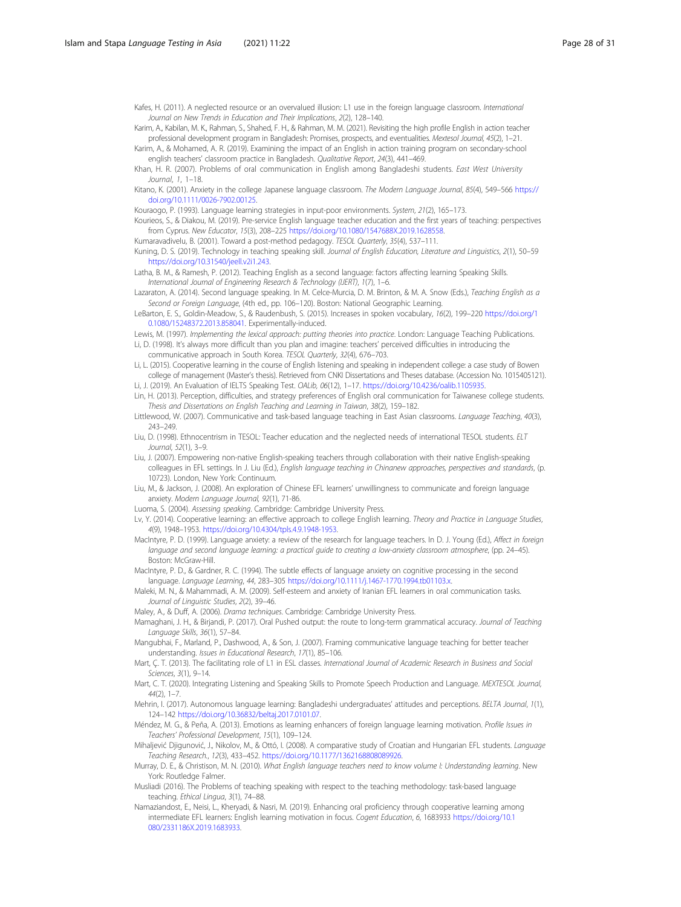<span id="page-27-0"></span>Kafes, H. (2011). A neglected resource or an overvalued illusion: L1 use in the foreign language classroom. International Journal on New Trends in Education and Their Implications, 2(2), 128–140.

Karim, A., Kabilan, M. K., Rahman, S., Shahed, F. H., & Rahman, M. M. (2021). Revisiting the high profile English in action teacher professional development program in Bangladesh: Promises, prospects, and eventualities. Mextesol Journal, 45(2), 1-21.

Karim, A., & Mohamed, A. R. (2019). Examining the impact of an English in action training program on secondary-school english teachers' classroom practice in Bangladesh. Qualitative Report, 24(3), 441–469.

Khan, H. R. (2007). Problems of oral communication in English among Bangladeshi students. East West University  $I$ ournal, 1, 1–18.

Kitano, K. (2001). Anxiety in the college Japanese language classroom. The Modern Language Journal, 85(4), 549-566 [https://](https://doi.org/10.1111/0026-7902.00125) [doi.org/10.1111/0026-7902.00125.](https://doi.org/10.1111/0026-7902.00125)

Kouraogo, P. (1993). Language learning strategies in input-poor environments. System, 21(2), 165–173.

Kourieos, S., & Diakou, M. (2019). Pre-service English language teacher education and the first years of teaching: perspectives from Cyprus. New Educator, 15(3), 208–225 [https://doi.org/10.1080/1547688X.2019.1628558.](https://doi.org/10.1080/1547688X.2019.1628558)

Kumaravadivelu, B. (2001). Toward a post-method pedagogy. TESOL Quarterly, 35(4), 537–111. Kuning, D. S. (2019). Technology in teaching speaking skill. Journal of English Education, Literature and Linguistics, 2(1), 50–59 [https://doi.org/10.31540/jeell.v2i1.243.](https://doi.org/10.31540/jeell.v2i1.243)

Latha, B. M., & Ramesh, P. (2012). Teaching English as a second language: factors affecting learning Speaking Skills. International Journal of Engineering Research & Technology (IJERT), 1(7), 1–6.

Lazaraton, A. (2014). Second language speaking. In M. Celce-Murcia, D. M. Brinton, & M. A. Snow (Eds.), Teaching English as a Second or Foreign Language, (4th ed., pp. 106–120). Boston: National Geographic Learning.

LeBarton, E. S., Goldin-Meadow, S., & Raudenbush, S. (2015). Increases in spoken vocabulary, 16(2), 199–220 [https://doi.org/1](https://doi.org/10.1080/15248372.2013.858041) [0.1080/15248372.2013.858041](https://doi.org/10.1080/15248372.2013.858041). Experimentally-induced.

Lewis, M. (1997). Implementing the lexical approach: putting theories into practice. London: Language Teaching Publications. Li, D. (1998). It's always more difficult than you plan and imagine: teachers' perceived difficulties in introducing the

communicative approach in South Korea. TESOL Quarterly, 32(4), 676–703.

Li, L. (2015). Cooperative learning in the course of English listening and speaking in independent college: a case study of Bowen college of management (Master's thesis). Retrieved from CNKI Dissertations and Theses database. (Accession No. 1015405121).

Li, J. (2019). An Evaluation of IELTS Speaking Test. OALib, 06(12), 1–17. [https://doi.org/10.4236/oalib.1105935.](https://doi.org/10.4236/oalib.1105935)

Lin, H. (2013). Perception, difficulties, and strategy preferences of English oral communication for Taiwanese college students. Thesis and Dissertations on English Teaching and Learning in Taiwan, 38(2), 159–182.

Littlewood, W. (2007). Communicative and task-based language teaching in East Asian classrooms. Language Teaching, 40(3), 243–249.

Liu, D. (1998). Ethnocentrism in TESOL: Teacher education and the neglected needs of international TESOL students. ELT Journal, 52(1), 3–9.

Liu, J. (2007). Empowering non-native English-speaking teachers through collaboration with their native English-speaking colleagues in EFL settings. In J. Liu (Ed.), English language teaching in Chinanew approaches, perspectives and standards, (p. 10723). London, New York: Continuum.

Liu, M., & Jackson, J. (2008). An exploration of Chinese EFL learners' unwillingness to communicate and foreign language anxiety. Modern Language Journal, 92(1), 71-86.

Luoma, S. (2004). Assessing speaking. Cambridge: Cambridge University Press.

Lv, Y. (2014). Cooperative learning: an effective approach to college English learning. Theory and Practice in Language Studies, 4(9), 1948–1953. [https://doi.org/10.4304/tpls.4.9.1948-1953.](https://doi.org/10.4304/tpls.4.9.1948-1953)

MacIntyre, P. D. (1999). Language anxiety: a review of the research for language teachers. In D. J. Young (Ed.), Affect in foreign language and second language learning: a practical guide to creating a low-anxiety classroom atmosphere, (pp. 24–45). Boston: McGraw-Hill.

MacIntyre, P. D., & Gardner, R. C. (1994). The subtle effects of language anxiety on cognitive processing in the second language. Language Learning, 44, 283–305 <https://doi.org/10.1111/j.1467-1770.1994.tb01103.x>.

Maleki, M. N., & Mahammadi, A. M. (2009). Self-esteem and anxiety of Iranian EFL learners in oral communication tasks. Journal of Linguistic Studies, 2(2), 39–46.

Maley, A., & Duff, A. (2006). Drama techniques. Cambridge: Cambridge University Press.

Mamaghani, J. H., & Birjandi, P. (2017). Oral Pushed output: the route to long-term grammatical accuracy. Journal of Teaching Language Skills, 36(1), 57–84.

Mangubhai, F., Marland, P., Dashwood, A., & Son, J. (2007). Framing communicative language teaching for better teacher understanding. Issues in Educational Research, 17(1), 85–106.

Mart, Ç. T. (2013). The facilitating role of L1 in ESL classes. International Journal of Academic Research in Business and Social Sciences, 3(1), 9–14.

Mart, C. T. (2020). Integrating Listening and Speaking Skills to Promote Speech Production and Language. MEXTESOL Journal,  $44(2)$ , 1-7.

Mehrin, I. (2017). Autonomous language learning: Bangladeshi undergraduates' attitudes and perceptions. BELTA Journal, 1(1), 124–142 [https://doi.org/10.36832/beltaj.2017.0101.07.](https://doi.org/10.36832/beltaj.2017.0101.07)

Méndez, M. G., & Peña, A. (2013). Emotions as learning enhancers of foreign language learning motivation. Profile Issues in Teachers' Professional Development, 15(1), 109–124.

Mihaljević Djigunović, J., Nikolov, M., & Ottó, I. (2008). A comparative study of Croatian and Hungarian EFL students. Language Teaching Research., 12(3), 433–452. <https://doi.org/10.1177/1362168808089926>.

Murray, D. E., & Christison, M. N. (2010). What English language teachers need to know volume I: Understanding learning. New York: Routledge Falmer.

Musliadi (2016). The Problems of teaching speaking with respect to the teaching methodology: task-based language teaching. Ethical Lingua, 3(1), 74–88.

Namaziandost, E., Neisi, L., Kheryadi, & Nasri, M. (2019). Enhancing oral proficiency through cooperative learning among intermediate EFL learners: English learning motivation in focus. Cogent Education, 6, 1683933 [https://doi.org/10.1](https://doi.org/10.1080/2331186X.2019.1683933) [080/2331186X.2019.1683933.](https://doi.org/10.1080/2331186X.2019.1683933)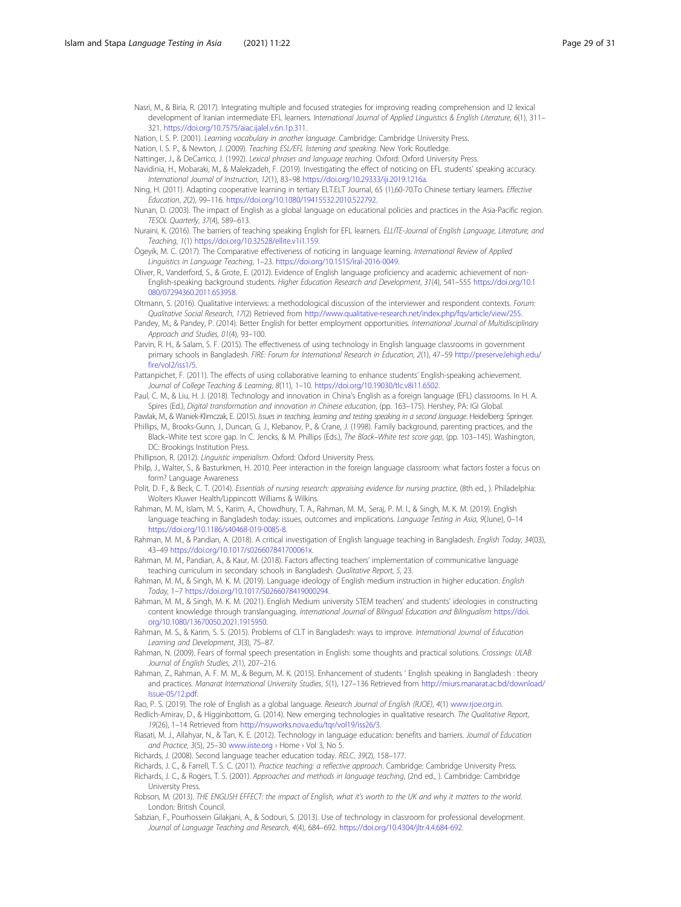- <span id="page-28-0"></span>Nasri, M., & Biria, R. (2017). Integrating multiple and focused strategies for improving reading comprehension and l2 lexical development of Iranian intermediate EFL learners. International Journal of Applied Linguistics & English Literature, 6(1), 311-321. [https://doi.org/10.7575/aiac.ijalel.v.6n.1p.311.](https://doi.org/10.7575/aiac.ijalel.v.6n.1p.311)
- Nation, I. S. P. (2001). Learning vocabulary in another language. Cambridge: Cambridge University Press.

Nation, I. S. P., & Newton, J. (2009). Teaching ESL/EFL listening and speaking. New York: Routledge.

- Nattinger, J., & DeCarrico, J. (1992). Lexical phrases and language teaching. Oxford: Oxford University Press.
- Navidinia, H., Mobaraki, M., & Malekzadeh, F. (2019). Investigating the effect of noticing on EFL students' speaking accuracy. International Journal of Instruction, 12(1), 83–98 [https://doi.org/10.29333/iji.2019.1216a.](https://doi.org/10.29333/iji.2019.1216a)
- Ning, H. (2011). Adapting cooperative learning in tertiary ELT.ELT Journal, 65 (1),60-70.To Chinese tertiary learners. Effective Education, 2(2), 99–116. [https://doi.org/10.1080/19415532.2010.522792.](https://doi.org/10.1080/19415532.2010.522792)
- Nunan, D. (2003). The impact of English as a global language on educational policies and practices in the Asia-Pacific region. TESOL Quarterly, 37(4), 589–613.
- Nuraini, K. (2016). The barriers of teaching speaking English for EFL learners. ELLITE-Journal of English Language, Literature, and Teaching, 1(1) <https://doi.org/10.32528/ellite.v1i1.159>.
- Ögeyik, M. C. (2017). The Comparative effectiveness of noticing in language learning. International Review of Applied Linguistics in Language Teaching, 1–23. <https://doi.org/10.1515/iral-2016-0049>.
- Oliver, R., Vanderford, S., & Grote, E. (2012). Evidence of English language proficiency and academic achievement of non-English-speaking background students. Higher Education Research and Development, 31(4), 541–555 [https://doi.org/10.1](https://doi.org/10.1080/07294360.2011.653958) [080/07294360.2011.653958](https://doi.org/10.1080/07294360.2011.653958).
- Oltmann, S. (2016). Qualitative interviews: a methodological discussion of the interviewer and respondent contexts. Forum: Qualitative Social Research, 17(2) Retrieved from <http://www.qualitative-research.net/index.php/fqs/article/view/255>.
- Pandey, M., & Pandey, P. (2014). Better English for better employment opportunities. International Journal of Multidisciplinary Approach and Studies, 01(4), 93–100.
- Parvin, R. H., & Salam, S. F. (2015). The effectiveness of using technology in English language classrooms in government primary schools in Bangladesh. FIRE: Forum for International Research in Education, 2(1), 47–59 [http://preserve.lehigh.edu/](http://preserve.lehigh.edu/fire/vol2/iss1/5) [fire/vol2/iss1/5](http://preserve.lehigh.edu/fire/vol2/iss1/5).
- Pattanpichet, F. (2011). The effects of using collaborative learning to enhance students' English-speaking achievement. Journal of College Teaching & Learning, 8(11), 1–10. [https://doi.org/10.19030/tlc.v8i11.6502.](https://doi.org/10.19030/tlc.v8i11.6502)
- Paul, C. M., & Liu, H. J. (2018). Technology and innovation in China's English as a foreign language (EFL) classrooms. In H. A. Spires (Ed.), Digital transformation and innovation in Chinese education, (pp. 163–175). Hershey, PA: IGI Global.
- Pawlak, M., & Waniek-Klimczak, E. (2015). Issues in teaching, learning and testing speaking in a second language. Heidelberg: Springer. Phillips, M., Brooks-Gunn, J., Duncan, G. J., Klebanov, P., & Crane, J. (1998). Family background, parenting practices, and the Black–White test score gap. In C. Jencks, & M. Phillips (Eds.), The Black–White test score gap, (pp. 103–145). Washington, DC: Brookings Institution Press.
- Phillipson, R. (2012). Linguistic imperialism. Oxford: Oxford University Press.
- Philp, J., Walter, S., & Basturkmen, H. 2010. Peer interaction in the foreign language classroom: what factors foster a focus on form? Language Awareness
- Polit, D. F., & Beck, C. T. (2014). Essentials of nursing research: appraising evidence for nursing practice, (8th ed., ). Philadelphia: Wolters Kluwer Health/Lippincott Williams & Wilkins.
- Rahman, M. M., Islam, M. S., Karim, A., Chowdhury, T. A., Rahman, M. M., Seraj, P. M. I., & Singh, M. K. M. (2019). English language teaching in Bangladesh today: issues, outcomes and implications. Language Testing in Asia, 9(June), 0-14 <https://doi.org/10.1186/s40468-019-0085-8>.
- Rahman, M. M., & Pandian, A. (2018). A critical investigation of English language teaching in Bangladesh. English Today, 34(03), 43–49 <https://doi.org/10.1017/s026607841700061x>.
- Rahman, M. M., Pandian, A., & Kaur, M. (2018). Factors affecting teachers' implementation of communicative language teaching curriculum in secondary schools in Bangladesh. Qualitative Report, 5, 23.
- Rahman, M. M., & Singh, M. K. M. (2019). Language ideology of English medium instruction in higher education. English Today, 1–7 <https://doi.org/10.1017/S0266078419000294>.
- Rahman, M. M., & Singh, M. K. M. (2021). English Medium university STEM teachers' and students' ideologies in constructing content knowledge through translanguaging. International Journal of Bilingual Education and Bilingualism [https://doi.](https://doi.org/10.1080/13670050.2021.1915950) [org/10.1080/13670050.2021.1915950](https://doi.org/10.1080/13670050.2021.1915950).
- Rahman, M. S., & Karim, S. S. (2015). Problems of CLT in Bangladesh: ways to improve. International Journal of Education Learning and Development, 3(3), 75–87.
- Rahman, N. (2009). Fears of formal speech presentation in English: some thoughts and practical solutions. Crossings: ULAB Journal of English Studies, 2(1), 207–216.
- Rahman, Z., Rahman, A. F. M. M., & Begum, M. K. (2015). Enhancement of students ' English speaking in Bangladesh : theory and practices. Manarat International University Studies, 5(1), 127–136 Retrieved from [http://miurs.manarat.ac.bd/download/](http://miurs.manarat.ac.bd/download/Issue-05/12.pdf) [Issue-05/12.pdf](http://miurs.manarat.ac.bd/download/Issue-05/12.pdf).
- Rao, P. S. (2019). The role of English as a global language. Research Journal of English (RJOE), 4(1) [www.rjoe.org.in.](http://www.rjoe.org.in)
- Redlich-Amirav, D., & Higginbottom, G. (2014). New emerging technologies in qualitative research. The Qualitative Report, 19(26), 1–14 Retrieved from <http://nsuworks.nova.edu/tqr/vol19/iss26/3>.
- Riasati, M. J., Allahyar, N., & Tan, K. E. (2012). Technology in language education: benefits and barriers. Journal of Education and Practice, 3(5), 25-30 [www.iiste.org](http://www.iiste.org) > Home > Vol 3, No 5.
- Richards, J. (2008). Second language teacher education today. RELC, 39(2), 158–177.
- Richards, J. C., & Farrell, T. S. C. (2011). Practice teaching: a reflective approach. Cambridge: Cambridge University Press.
- Richards, J. C., & Rogers, T. S. (2001). Approaches and methods in language teaching, (2nd ed., ). Cambridge: Cambridge University Press.
- Robson, M. (2013). THE ENGLISH EFFECT: the impact of English, what it's worth to the UK and why it matters to the world. London: British Council.
- Sabzian, F., Pourhossein Gilakjani, A., & Sodouri, S. (2013). Use of technology in classroom for professional development. Journal of Language Teaching and Research, 4(4), 684–692. <https://doi.org/10.4304/jltr.4.4.684-692>.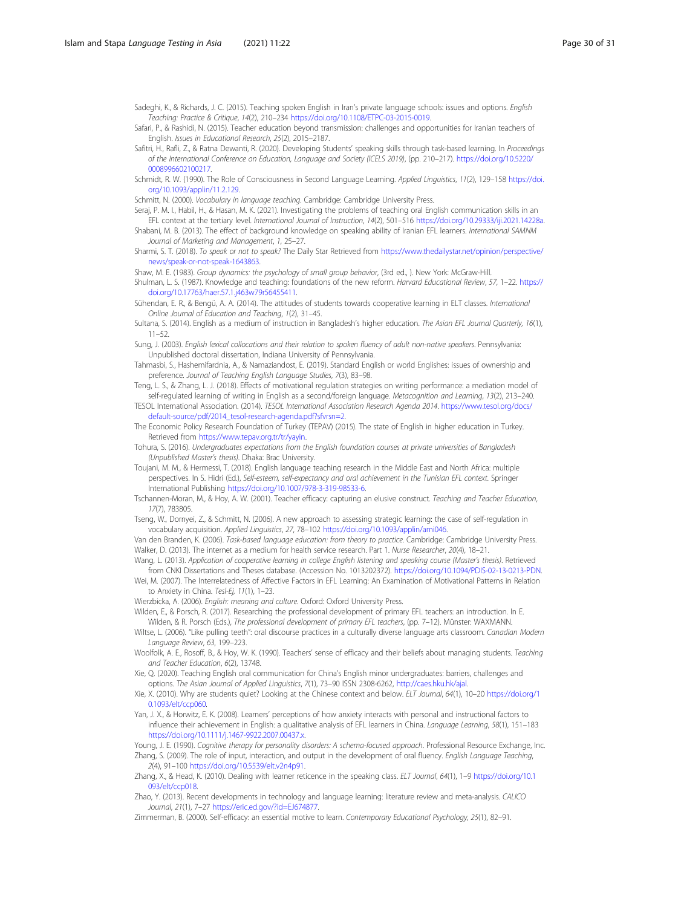<span id="page-29-0"></span>Sadeghi, K., & Richards, J. C. (2015). Teaching spoken English in Iran's private language schools: issues and options. English Teaching: Practice & Critique, 14(2), 210–234 [https://doi.org/10.1108/ETPC-03-2015-0019.](https://doi.org/10.1108/ETPC-03-2015-0019)

Safari, P., & Rashidi, N. (2015). Teacher education beyond transmission: challenges and opportunities for Iranian teachers of English. Issues in Educational Research, 25(2), 2015–2187.

Safitri, H., Rafli, Z., & Ratna Dewanti, R. (2020). Developing Students' speaking skills through task-based learning. In Proceedings of the International Conference on Education, Language and Society (ICELS 2019), (pp. 210–217). [https://doi.org/10.5220/](https://doi.org/10.5220/0008996602100217) [0008996602100217](https://doi.org/10.5220/0008996602100217).

Schmidt, R. W. (1990). The Role of Consciousness in Second Language Learning. Applied Linguistics, 11(2), 129–158 [https://doi.](https://doi.org/10.1093/applin/11.2.129) [org/10.1093/applin/11.2.129.](https://doi.org/10.1093/applin/11.2.129)

Schmitt, N. (2000). Vocabulary in language teaching. Cambridge: Cambridge University Press.

Seraj, P. M. I., Habil, H., & Hasan, M. K. (2021). Investigating the problems of teaching oral English communication skills in an EFL context at the tertiary level. International Journal of Instruction, 14(2), 501–516 <https://doi.org/10.29333/iji.2021.14228a>.

- Shabani, M. B. (2013). The effect of background knowledge on speaking ability of Iranian EFL learners. International SAMNM Journal of Marketing and Management, 1, 25–27.
- Sharmi, S. T. (2018). To speak or not to speak? The Daily Star Retrieved from [https://www.thedailystar.net/opinion/perspective/](https://www.thedailystar.net/opinion/perspective/news/speak-or-not-speak-1643863) [news/speak-or-not-speak-1643863.](https://www.thedailystar.net/opinion/perspective/news/speak-or-not-speak-1643863)

Shaw, M. E. (1983). Group dynamics: the psychology of small group behavior, (3rd ed., ). New York: McGraw-Hill.

Shulman, L. S. (1987). Knowledge and teaching: foundations of the new reform. Harvard Educational Review, 57, 1–22. [https://](https://doi.org/10.17763/haer.57.1.j463w79r56455411) [doi.org/10.17763/haer.57.1.j463w79r56455411.](https://doi.org/10.17763/haer.57.1.j463w79r56455411)

Sühendan, E. R., & Bengü, A. A. (2014). The attitudes of students towards cooperative learning in ELT classes. International Online Journal of Education and Teaching, 1(2), 31–45.

Sultana, S. (2014). English as a medium of instruction in Bangladesh's higher education. The Asian EFL Journal Quarterly, 16(1), 11–52.

Sung, J. (2003). English lexical collocations and their relation to spoken fluency of adult non-native speakers. Pennsylvania: Unpublished doctoral dissertation, Indiana University of Pennsylvania.

Tahmasbi, S., Hashemifardnia, A., & Namaziandost, E. (2019). Standard English or world Englishes: issues of ownership and preference. Journal of Teaching English Language Studies, 7(3), 83–98.

Teng, L. S., & Zhang, L. J. (2018). Effects of motivational regulation strategies on writing performance: a mediation model of self-regulated learning of writing in English as a second/foreign language. Metacognition and Learning, 13(2), 213-240.

TESOL International Association. (2014). TESOL International Association Research Agenda 2014. [https://www.tesol.org/docs/](https://www.tesol.org/docs/default-source/pdf/2014_tesol-research-agenda.pdf?sfvrsn=2) [default-source/pdf/2014\\_tesol-research-agenda.pdf?sfvrsn=2](https://www.tesol.org/docs/default-source/pdf/2014_tesol-research-agenda.pdf?sfvrsn=2).

The Economic Policy Research Foundation of Turkey (TEPAV) (2015). The state of English in higher education in Turkey. Retrieved from <https://www.tepav.org.tr/tr/yayin>.

- Tohura, S. (2016). Undergraduates expectations from the English foundation courses at private universities of Bangladesh (Unpublished Master's thesis). Dhaka: Brac University.
- Toujani, M. M., & Hermessi, T. (2018). English language teaching research in the Middle East and North Africa: multiple perspectives. In S. Hidri (Ed.), Self-esteem, self-expectancy and oral achievement in the Tunisian EFL context. Springer International Publishing <https://doi.org/10.1007/978-3-319-98533-6>.
- Tschannen-Moran, M., & Hoy, A. W. (2001). Teacher efficacy: capturing an elusive construct. Teaching and Teacher Education, 17(7), 783805.
- Tseng, W., Dornyei, Z., & Schmitt, N. (2006). A new approach to assessing strategic learning: the case of self-regulation in vocabulary acquisition. Applied Linguistics, 27, 78–102 [https://doi.org/10.1093/applin/ami046.](https://doi.org/10.1093/applin/ami046)

Van den Branden, K. (2006). Task-based language education: from theory to practice. Cambridge: Cambridge University Press. Walker, D. (2013). The internet as a medium for health service research. Part 1. Nurse Researcher, 20(4), 18–21.

- Wang, L. (2013). Application of cooperative learning in college English listening and speaking course (Master's thesis). Retrieved from CNKI Dissertations and Theses database. (Accession No. 1013202372). <https://doi.org/10.1094/PDIS-02-13-0213-PDN>.
- Wei, M. (2007). The Interrelatedness of Affective Factors in EFL Learning: An Examination of Motivational Patterns in Relation to Anxiety in China. Tesl-Ej, 11(1), 1-23.

Wierzbicka, A. (2006). English: meaning and culture. Oxford: Oxford University Press. Wilden, E., & Porsch, R. (2017). Researching the professional development of primary EFL teachers: an introduction. In E.

- Wilden, & R. Porsch (Eds.), The professional development of primary EFL teachers, (pp. 7–12). Münster: WAXMANN. Wiltse, L. (2006). "Like pulling teeth": oral discourse practices in a culturally diverse language arts classroom. Canadian Modern
- Language Review, 63, 199–223.
- Woolfolk, A. E., Rosoff, B., & Hoy, W. K. (1990). Teachers' sense of efficacy and their beliefs about managing students. Teaching and Teacher Education, 6(2), 13748.
- Xie, Q. (2020). Teaching English oral communication for China's English minor undergraduates: barriers, challenges and options. The Asian Journal of Applied Linguistics, 7(1), 73–90 ISSN 2308-6262, [http://caes.hku.hk/ajal.](http://caes.hku.hk/ajal)

Xie, X. (2010). Why are students quiet? Looking at the Chinese context and below. ELT Journal, 64(1), 10–20 [https://doi.org/1](https://doi.org/10.1093/elt/ccp060) [0.1093/elt/ccp060](https://doi.org/10.1093/elt/ccp060).

Yan, J. X., & Horwitz, E. K. (2008). Learners' perceptions of how anxiety interacts with personal and instructional factors to influence their achievement in English: a qualitative analysis of EFL learners in China. Language Learning, 58(1), 151-183 <https://doi.org/10.1111/j.1467-9922.2007.00437.x>.

Young, J. E. (1990). Cognitive therapy for personality disorders: A schema-focused approach. Professional Resource Exchange, Inc. Zhang, S. (2009). The role of input, interaction, and output in the development of oral fluency. English Language Teaching, 2(4), 91–100 <https://doi.org/10.5539/elt.v2n4p91>.

Zhang, X., & Head, K. (2010). Dealing with learner reticence in the speaking class. ELT Journal, 64(1), 1–9 [https://doi.org/10.1](https://doi.org/10.1093/elt/ccp018) [093/elt/ccp018](https://doi.org/10.1093/elt/ccp018).

Zhao, Y. (2013). Recent developments in technology and language learning: literature review and meta-analysis. CALICO Journal, 21(1), 7–27 <https://eric.ed.gov/?id=EJ674877>.

Zimmerman, B. (2000). Self-efficacy: an essential motive to learn. Contemporary Educational Psychology, 25(1), 82–91.